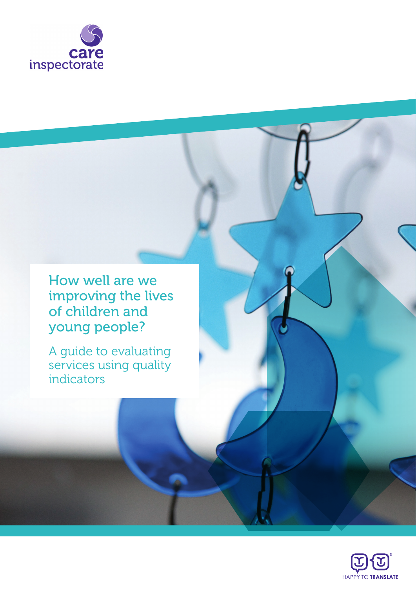

How well are we improving the lives of children and young people?

A guide to evaluating services using quality indicators

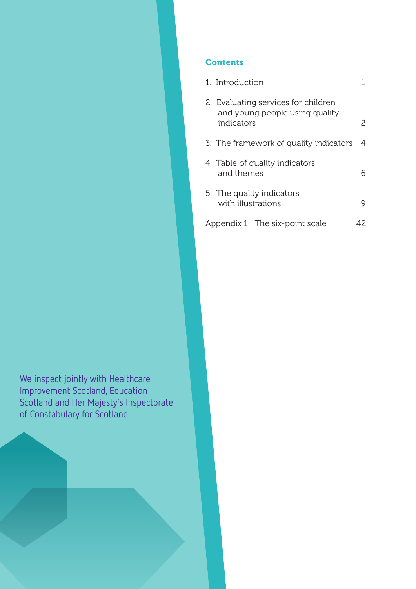## **Contents**

| 1. Introduction                                                                     |     |
|-------------------------------------------------------------------------------------|-----|
| 2. Evaluating services for children<br>and young people using quality<br>indicators | 2   |
| 3. The framework of quality indicators                                              | 4   |
| 4. Table of quality indicators<br>and themes                                        |     |
| 5. The quality indicators<br>with illustrations                                     |     |
| Appendix 1: The six-point scale                                                     | 42. |

We inspect jointly with Healthcare Improvement Scotland, Education Scotland and Her Majesty's Inspectorate of Constabulary for Scotland.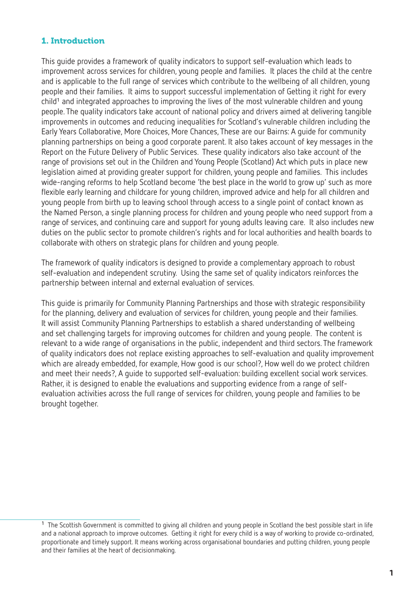## 1. Introduction

This guide provides a framework of quality indicators to support self-evaluation which leads to improvement across services for children, young people and families. It places the child at the centre and is applicable to the full range of services which contribute to the wellbeing of all children, young people and their families. It aims to support successful implementation of Getting it right for every child<sup>1</sup> and integrated approaches to improving the lives of the most vulnerable children and young people. The quality indicators take account of national policy and drivers aimed at delivering tangible improvements in outcomes and reducing inequalities for Scotland's vulnerable children including the Early Years Collaborative, More Choices, More Chances, These are our Bairns: A guide for community planning partnerships on being a good corporate parent. It also takes account of key messages in the Report on the Future Delivery of Public Services. These quality indicators also take account of the range of provisions set out in the Children and Young People (Scotland) Act which puts in place new legislation aimed at providing greater support for children, young people and families. This includes wide-ranging reforms to help Scotland become 'the best place in the world to grow up' such as more flexible early learning and childcare for young children, improved advice and help for all children and young people from birth up to leaving school through access to a single point of contact known as the Named Person, a single planning process for children and young people who need support from a range of services, and continuing care and support for young adults leaving care. It also includes new duties on the public sector to promote children's rights and for local authorities and health boards to collaborate with others on strategic plans for children and young people.

The framework of quality indicators is designed to provide a complementary approach to robust self-evaluation and independent scrutiny. Using the same set of quality indicators reinforces the partnership between internal and external evaluation of services.

This guide is primarily for Community Planning Partnerships and those with strategic responsibility for the planning, delivery and evaluation of services for children, young people and their families. It will assist Community Planning Partnerships to establish a shared understanding of wellbeing and set challenging targets for improving outcomes for children and young people. The content is relevant to a wide range of organisations in the public, independent and third sectors. The framework of quality indicators does not replace existing approaches to self-evaluation and quality improvement which are already embedded, for example, How good is our school?, How well do we protect children and meet their needs?, A guide to supported self-evaluation: building excellent social work services. Rather, it is designed to enable the evaluations and supporting evidence from a range of selfevaluation activities across the full range of services for children, young people and families to be brought together.

 $1$  The Scottish Government is committed to giving all children and young people in Scotland the best possible start in life and a national approach to improve outcomes. Getting it right for every child is a way of working to provide co-ordinated, proportionate and timely support. It means working across organisational boundaries and putting children, young people and their families at the heart of decisionmaking.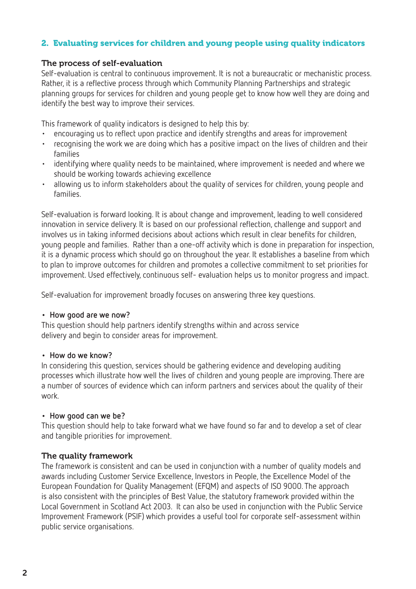## 2. Evaluating services for children and young people using quality indicators

#### The process of self-evaluation

Self-evaluation is central to continuous improvement. It is not a bureaucratic or mechanistic process. Rather, it is a reflective process through which Community Planning Partnerships and strategic planning groups for services for children and young people get to know how well they are doing and identify the best way to improve their services.

This framework of quality indicators is designed to help this by:

- encouraging us to reflect upon practice and identify strengths and areas for improvement
- recognising the work we are doing which has a positive impact on the lives of children and their families
- identifying where quality needs to be maintained, where improvement is needed and where we should be working towards achieving excellence
- allowing us to inform stakeholders about the quality of services for children, young people and families.

Self-evaluation is forward looking. It is about change and improvement, leading to well considered innovation in service delivery. It is based on our professional reflection, challenge and support and involves us in taking informed decisions about actions which result in clear benefits for children, young people and families. Rather than a one-off activity which is done in preparation for inspection, it is a dynamic process which should go on throughout the year. It establishes a baseline from which to plan to improve outcomes for children and promotes a collective commitment to set priorities for improvement. Used effectively, continuous self- evaluation helps us to monitor progress and impact.

Self-evaluation for improvement broadly focuses on answering three key questions.

#### **• How good are we now?**

This question should help partners identify strengths within and across service delivery and begin to consider areas for improvement.

#### **• How do we know?**

In considering this question, services should be gathering evidence and developing auditing processes which illustrate how well the lives of children and young people are improving. There are a number of sources of evidence which can inform partners and services about the quality of their work.

#### **• How good can we be?**

This question should help to take forward what we have found so far and to develop a set of clear and tangible priorities for improvement.

#### The quality framework

The framework is consistent and can be used in conjunction with a number of quality models and awards including Customer Service Excellence, Investors in People, the Excellence Model of the European Foundation for Quality Management (EFQM) and aspects of ISO 9000. The approach is also consistent with the principles of Best Value, the statutory framework provided within the Local Government in Scotland Act 2003. It can also be used in conjunction with the Public Service Improvement Framework (PSIF) which provides a useful tool for corporate self-assessment within public service organisations.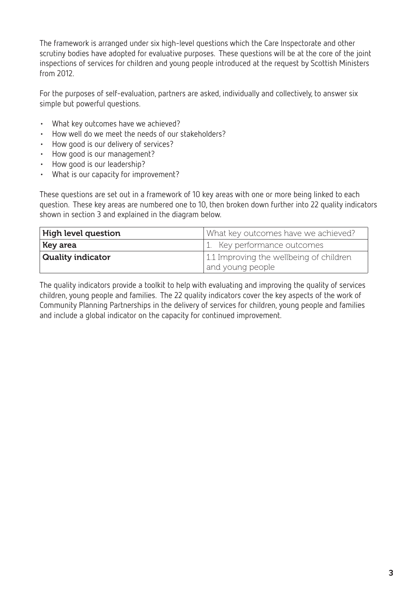The framework is arranged under six high-level questions which the Care Inspectorate and other scrutiny bodies have adopted for evaluative purposes. These questions will be at the core of the joint inspections of services for children and young people introduced at the request by Scottish Ministers from 2012.

For the purposes of self-evaluation, partners are asked, individually and collectively, to answer six simple but powerful questions.

- What key outcomes have we achieved?
- • How well do we meet the needs of our stakeholders?
- • How good is our delivery of services?
- How good is our management?
- How good is our leadership?
- • What is our capacity for improvement?

These questions are set out in a framework of 10 key areas with one or more being linked to each question. These key areas are numbered one to 10, then broken down further into 22 quality indicators shown in section 3 and explained in the diagram below.

| <b>High level question</b> | What key outcomes have we achieved?                         |
|----------------------------|-------------------------------------------------------------|
| Key area                   | 1. Key performance outcomes                                 |
| <b>Quality indicator</b>   | 1.1 Improving the wellbeing of children<br>and young people |

The quality indicators provide a toolkit to help with evaluating and improving the quality of services children, young people and families. The 22 quality indicators cover the key aspects of the work of Community Planning Partnerships in the delivery of services for children, young people and families and include a global indicator on the capacity for continued improvement.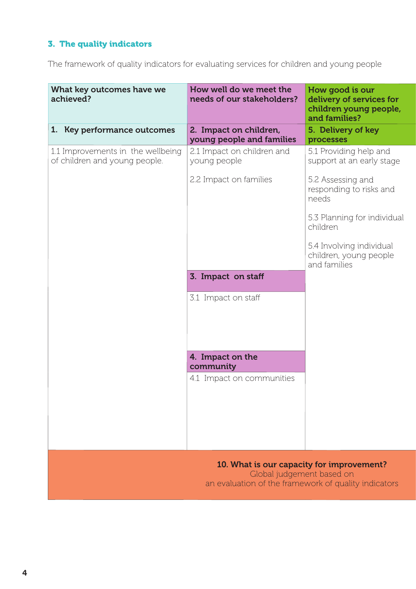# 3. The quality indicators

The framework of quality indicators for evaluating services for children and young people

| What key outcomes have we<br>achieved?                             | How well do we meet the<br>needs of our stakeholders?                                                                          | How good is our<br>delivery of services for<br>children young people,<br>and families? |
|--------------------------------------------------------------------|--------------------------------------------------------------------------------------------------------------------------------|----------------------------------------------------------------------------------------|
| 1. Key performance outcomes                                        | 2. Impact on children,<br>young people and families                                                                            | 5. Delivery of key<br>processes                                                        |
| 1.1 Improvements in the wellbeing<br>of children and young people. | 2.1 Impact on children and<br>young people                                                                                     | 5.1 Providing help and<br>support at an early stage                                    |
|                                                                    | 2.2 Impact on families                                                                                                         | 5.2 Assessing and<br>responding to risks and<br>needs                                  |
|                                                                    |                                                                                                                                | 5.3 Planning for individual<br>children                                                |
|                                                                    |                                                                                                                                | 5.4 Involving individual<br>children, young people<br>and families                     |
|                                                                    | 3. Impact on staff                                                                                                             |                                                                                        |
|                                                                    | 3.1 Impact on staff                                                                                                            |                                                                                        |
|                                                                    |                                                                                                                                |                                                                                        |
|                                                                    | 4. Impact on the<br>community                                                                                                  |                                                                                        |
|                                                                    | 4.1 Impact on communities                                                                                                      |                                                                                        |
|                                                                    |                                                                                                                                |                                                                                        |
|                                                                    |                                                                                                                                |                                                                                        |
|                                                                    |                                                                                                                                |                                                                                        |
|                                                                    | 10. What is our capacity for improvement?<br>Global judgement based on<br>an evaluation of the framework of quality indicators |                                                                                        |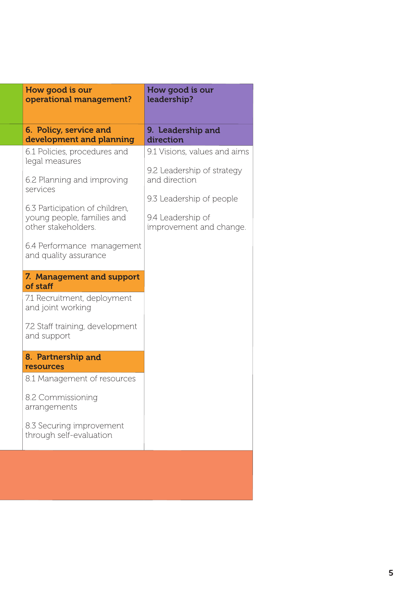| 6. Policy, service and<br>9. Leadership and<br>development and planning<br>direction<br>9.1 Visions, values and aims<br>6.1 Policies, procedures and<br>legal measures<br>9.2 Leadership of strategy<br>and direction<br>6.2 Planning and improving<br>services<br>9.3 Leadership of people                                                                                                                                                      |
|--------------------------------------------------------------------------------------------------------------------------------------------------------------------------------------------------------------------------------------------------------------------------------------------------------------------------------------------------------------------------------------------------------------------------------------------------|
|                                                                                                                                                                                                                                                                                                                                                                                                                                                  |
| 6.3 Participation of children,<br>young people, families and<br>9.4 Leadership of<br>other stakeholders.<br>improvement and change.<br>6.4 Performance management<br>and quality assurance<br>7. Management and support<br>of staff<br>7.1 Recruitment, deployment<br>and joint working<br>7.2 Staff training, development<br>and support<br>8. Partnership and<br>resources<br>8.1 Management of resources<br>8.2 Commissioning<br>arrangements |
| 8.3 Securing improvement<br>through self-evaluation                                                                                                                                                                                                                                                                                                                                                                                              |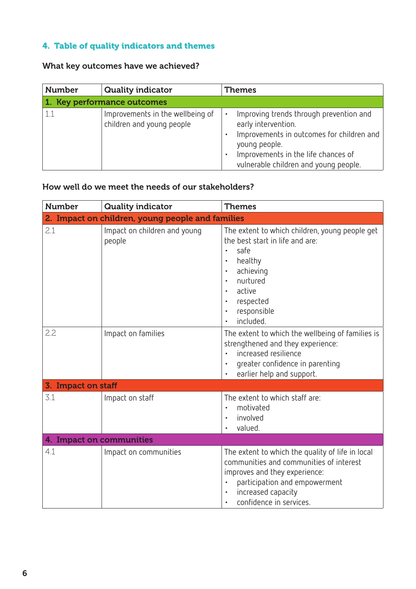# 4. Table of quality indicators and themes

# What key outcomes have we achieved?

| <b>Number</b> | <b>Quality indicator</b>                                      | <b>Themes</b>                                                                                                                                                                                                     |
|---------------|---------------------------------------------------------------|-------------------------------------------------------------------------------------------------------------------------------------------------------------------------------------------------------------------|
|               | 1. Key performance outcomes                                   |                                                                                                                                                                                                                   |
| 1.1           | Improvements in the wellbeing of<br>children and young people | Improving trends through prevention and<br>٠<br>early intervention.<br>Improvements in outcomes for children and<br>young people.<br>Improvements in the life chances of<br>vulnerable children and young people. |

# How well do we meet the needs of our stakeholders?

| <b>Number</b>            | <b>Quality indicator</b>                         | <b>Themes</b>                                                                                                                                                                                                                                                               |
|--------------------------|--------------------------------------------------|-----------------------------------------------------------------------------------------------------------------------------------------------------------------------------------------------------------------------------------------------------------------------------|
|                          | 2. Impact on children, young people and families |                                                                                                                                                                                                                                                                             |
| 2.1                      | Impact on children and young<br>people           | The extent to which children, young people get<br>the best start in life and are:<br>safe<br>$\bullet$<br>healthy<br>achieving<br>$\bullet$<br>nurtured<br>$\bullet$<br>active<br>$\bullet$<br>respected<br>$\bullet$<br>responsible<br>$\bullet$<br>included.<br>$\bullet$ |
| 2.2                      | Impact on families                               | The extent to which the wellbeing of families is<br>strengthened and they experience:<br>increased resilience<br>$\bullet$<br>greater confidence in parenting<br>$\bullet$<br>earlier help and support.<br>$\bullet$                                                        |
| 3. Impact on staff       |                                                  |                                                                                                                                                                                                                                                                             |
| 3.1                      | Impact on staff                                  | The extent to which staff are:<br>motivated<br>$\bullet$<br>involved<br>$\bullet$<br>valued.<br>$\bullet$                                                                                                                                                                   |
| 4. Impact on communities |                                                  |                                                                                                                                                                                                                                                                             |
| 4.1                      | Impact on communities                            | The extent to which the quality of life in local<br>communities and communities of interest<br>improves and they experience:<br>participation and empowerment<br>$\bullet$<br>increased capacity<br>$\bullet$<br>confidence in services.<br>$\bullet$                       |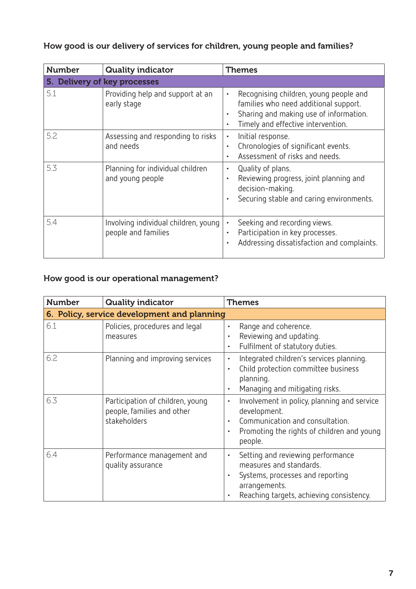# How good is our delivery of services for children, young people and families?

| <b>Number</b> | <b>Quality indicator</b>                                    | <b>Themes</b>                                                                                                                                                                                          |
|---------------|-------------------------------------------------------------|--------------------------------------------------------------------------------------------------------------------------------------------------------------------------------------------------------|
|               | 5. Delivery of key processes                                |                                                                                                                                                                                                        |
| 5.1           | Providing help and support at an<br>early stage             | Recognising children, young people and<br>$\bullet$<br>families who need additional support.<br>Sharing and making use of information.<br>$\bullet$<br>Timely and effective intervention.<br>$\bullet$ |
| 5.2           | Assessing and responding to risks<br>and needs              | Initial response.<br>$\bullet$<br>Chronologies of significant events.<br>$\bullet$<br>Assessment of risks and needs.<br>$\bullet$                                                                      |
| 5.3           | Planning for individual children<br>and young people        | Quality of plans.<br>$\bullet$<br>Reviewing progress, joint planning and<br>$\bullet$<br>decision-making.<br>Securing stable and caring environments.<br>$\bullet$                                     |
| 5.4           | Involving individual children, young<br>people and families | Seeking and recording views.<br>$\bullet$<br>Participation in key processes.<br>$\bullet$<br>Addressing dissatisfaction and complaints.<br>$\bullet$                                                   |

# How good is our operational management?

| <b>Number</b> | <b>Quality indicator</b>                                                       | <b>Themes</b>                                                                                                                                                                                        |  |  |
|---------------|--------------------------------------------------------------------------------|------------------------------------------------------------------------------------------------------------------------------------------------------------------------------------------------------|--|--|
|               | 6. Policy, service development and planning                                    |                                                                                                                                                                                                      |  |  |
| 6.1           | Policies, procedures and legal<br>measures                                     | Range and coherence.<br>$\bullet$<br>Reviewing and updating.<br>$\bullet$<br>Fulfilment of statutory duties.<br>$\bullet$                                                                            |  |  |
| 6.2           | Planning and improving services                                                | Integrated children's services planning.<br>$\bullet$<br>Child protection committee business<br>$\bullet$<br>planning.<br>Managing and mitigating risks.<br>$\bullet$                                |  |  |
| 6.3           | Participation of children, young<br>people, families and other<br>stakeholders | Involvement in policy, planning and service<br>$\bullet$<br>development.<br>Communication and consultation.<br>$\bullet$<br>Promoting the rights of children and young<br>$\bullet$<br>people.       |  |  |
| 6.4           | Performance management and<br>quality assurance                                | Setting and reviewing performance<br>$\bullet$<br>measures and standards.<br>Systems, processes and reporting<br>$\bullet$<br>arrangements.<br>Reaching targets, achieving consistency.<br>$\bullet$ |  |  |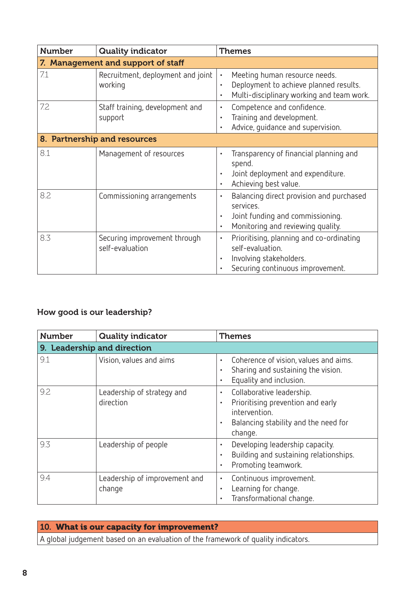| <b>Number</b>                      | <b>Quality indicator</b>                        | <b>Themes</b>                                                                                                                                                         |  |
|------------------------------------|-------------------------------------------------|-----------------------------------------------------------------------------------------------------------------------------------------------------------------------|--|
| 7. Management and support of staff |                                                 |                                                                                                                                                                       |  |
| 7.1                                | Recruitment, deployment and joint<br>working    | Meeting human resource needs.<br>$\bullet$<br>Deployment to achieve planned results.<br>$\bullet$<br>Multi-disciplinary working and team work.<br>$\bullet$           |  |
| 7.2                                | Staff training, development and<br>support      | Competence and confidence.<br>$\bullet$<br>Training and development.<br>$\bullet$<br>Advice, guidance and supervision.<br>$\bullet$                                   |  |
| 8. Partnership and resources       |                                                 |                                                                                                                                                                       |  |
| 8.1                                | Management of resources                         | Transparency of financial planning and<br>$\bullet$<br>spend.<br>Joint deployment and expenditure.<br>$\bullet$<br>Achieving best value.<br>$\bullet$                 |  |
| 8.2                                | Commissioning arrangements                      | Balancing direct provision and purchased<br>$\bullet$<br>services.<br>Joint funding and commissioning.<br>$\bullet$<br>Monitoring and reviewing quality.<br>$\bullet$ |  |
| 8.3                                | Securing improvement through<br>self-evaluation | Prioritising, planning and co-ordinating<br>$\bullet$<br>self-evaluation.<br>Involving stakeholders.<br>$\bullet$<br>Securing continuous improvement.<br>$\bullet$    |  |

# How good is our leadership?

| <b>Number</b>               | <b>Quality indicator</b>                | <b>Themes</b>                                                                                                                                                             |  |
|-----------------------------|-----------------------------------------|---------------------------------------------------------------------------------------------------------------------------------------------------------------------------|--|
| 9. Leadership and direction |                                         |                                                                                                                                                                           |  |
| 9.1                         | Vision, values and aims                 | Coherence of vision, values and aims.<br>$\bullet$<br>Sharing and sustaining the vision.<br>$\bullet$<br>Equality and inclusion.<br>$\bullet$                             |  |
| 9.2                         | Leadership of strategy and<br>direction | Collaborative leadership.<br>$\bullet$<br>Prioritising prevention and early<br>$\bullet$<br>intervention.<br>Balancing stability and the need for<br>$\bullet$<br>change. |  |
| 9.3                         | Leadership of people                    | Developing leadership capacity.<br>$\bullet$<br>Building and sustaining relationships.<br>$\bullet$<br>Promoting teamwork.<br>$\bullet$                                   |  |
| 9.4                         | Leadership of improvement and<br>change | Continuous improvement.<br>$\bullet$<br>Learning for change.<br>$\bullet$<br>Transformational change.<br>$\bullet$                                                        |  |

10. What is our capacity for improvement? A global judgement based on an evaluation of the framework of quality indicators.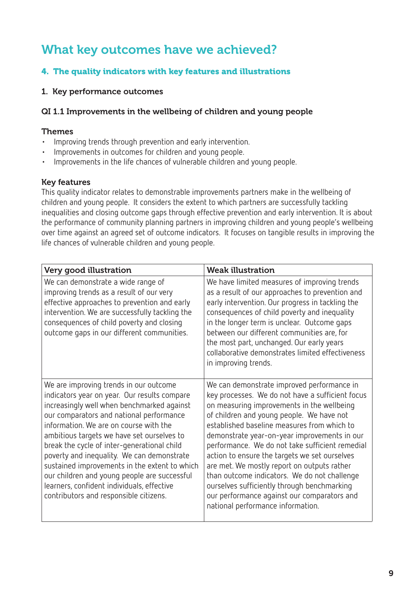# What key outcomes have we achieved?

# 4. The quality indicators with key features and illustrations

#### 1. Key performance outcomes

#### QI 1.1 Improvements in the wellbeing of children and young people

#### Themes

- Improving trends through prevention and early intervention.
- Improvements in outcomes for children and young people.
- Improvements in the life chances of vulnerable children and young people.

#### Key features

This quality indicator relates to demonstrable improvements partners make in the wellbeing of children and young people. It considers the extent to which partners are successfully tackling inequalities and closing outcome gaps through effective prevention and early intervention. It is about the performance of community planning partners in improving children and young people's wellbeing over time against an agreed set of outcome indicators. It focuses on tangible results in improving the life chances of vulnerable children and young people.

| Very good illustration                                                                                                                                                                                                                                                                                                                                                                                                                                                                                                                                         | <b>Weak illustration</b>                                                                                                                                                                                                                                                                                                                                                                                                                                                                                                                                                                                                       |
|----------------------------------------------------------------------------------------------------------------------------------------------------------------------------------------------------------------------------------------------------------------------------------------------------------------------------------------------------------------------------------------------------------------------------------------------------------------------------------------------------------------------------------------------------------------|--------------------------------------------------------------------------------------------------------------------------------------------------------------------------------------------------------------------------------------------------------------------------------------------------------------------------------------------------------------------------------------------------------------------------------------------------------------------------------------------------------------------------------------------------------------------------------------------------------------------------------|
| We can demonstrate a wide range of<br>improving trends as a result of our very<br>effective approaches to prevention and early<br>intervention. We are successfully tackling the<br>consequences of child poverty and closing<br>outcome gaps in our different communities.                                                                                                                                                                                                                                                                                    | We have limited measures of improving trends<br>as a result of our approaches to prevention and<br>early intervention. Our progress in tackling the<br>consequences of child poverty and inequality<br>in the longer term is unclear. Outcome gaps<br>between our different communities are, for<br>the most part, unchanged. Our early years<br>collaborative demonstrates limited effectiveness<br>in improving trends.                                                                                                                                                                                                      |
| We are improving trends in our outcome<br>indicators year on year. Our results compare<br>increasingly well when benchmarked against<br>our comparators and national performance<br>information. We are on course with the<br>ambitious targets we have set ourselves to<br>break the cycle of inter-generational child<br>poverty and inequality. We can demonstrate<br>sustained improvements in the extent to which<br>our children and young people are successful<br>learners, confident individuals, effective<br>contributors and responsible citizens. | We can demonstrate improved performance in<br>key processes. We do not have a sufficient focus<br>on measuring improvements in the wellbeing<br>of children and young people. We have not<br>established baseline measures from which to<br>demonstrate year-on-year improvements in our<br>performance. We do not take sufficient remedial<br>action to ensure the targets we set ourselves<br>are met. We mostly report on outputs rather<br>than outcome indicators. We do not challenge<br>ourselves sufficiently through benchmarking<br>our performance against our comparators and<br>national performance information. |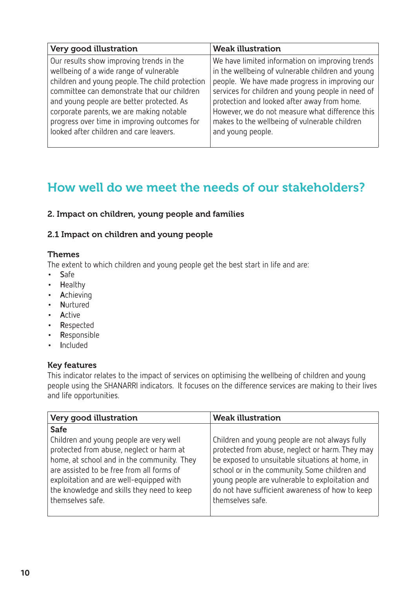| Very good illustration                          | <b>Weak illustration</b>                          |
|-------------------------------------------------|---------------------------------------------------|
| Our results show improving trends in the        | We have limited information on improving trends   |
| wellbeing of a wide range of vulnerable         | in the wellbeing of vulnerable children and young |
| children and young people. The child protection | people. We have made progress in improving our    |
| committee can demonstrate that our children     | services for children and young people in need of |
| and young people are better protected. As       | protection and looked after away from home.       |
| corporate parents, we are making notable        | However, we do not measure what difference this   |
| progress over time in improving outcomes for    | makes to the wellbeing of vulnerable children     |
| looked after children and care leavers.         | and young people.                                 |

# How well do we meet the needs of our stakeholders?

#### 2. Impact on children, young people and families

#### 2.1 Impact on children and young people

#### Themes

The extent to which children and young people get the best start in life and are:

- **• S**afe
- **• H**ealthy
- **• A**chieving
- **• N**urtured
- **• A**ctive
- **• R**espected
- **• R**esponsible
- **• I**ncluded

#### Key features

This indicator relates to the impact of services on optimising the wellbeing of children and young people using the SHANARRI indicators. It focuses on the difference services are making to their lives and life opportunities.

| Very good illustration                                                                                                                                                                                                                           | <b>Weak illustration</b>                                                                                                                                                                                                                                                      |
|--------------------------------------------------------------------------------------------------------------------------------------------------------------------------------------------------------------------------------------------------|-------------------------------------------------------------------------------------------------------------------------------------------------------------------------------------------------------------------------------------------------------------------------------|
| <b>Safe</b><br>Children and young people are very well                                                                                                                                                                                           | Children and young people are not always fully                                                                                                                                                                                                                                |
| protected from abuse, neglect or harm at<br>home, at school and in the community. They<br>are assisted to be free from all forms of<br>exploitation and are well-equipped with<br>the knowledge and skills they need to keep<br>themselves safe. | protected from abuse, neglect or harm. They may<br>be exposed to unsuitable situations at home, in<br>school or in the community. Some children and<br>young people are vulnerable to exploitation and<br>do not have sufficient awareness of how to keep<br>themselves safe. |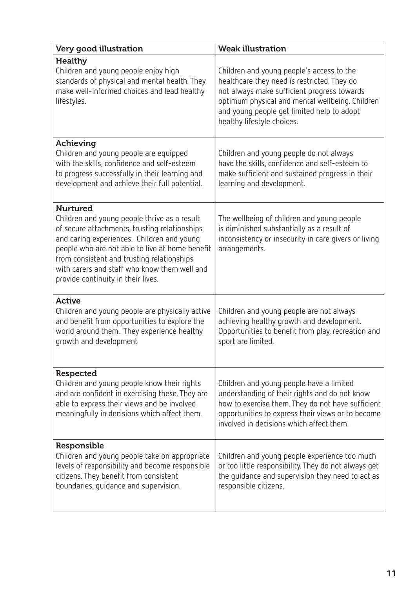| Very good illustration                                                                                                                                                                                                                                                                                                                                | <b>Weak illustration</b>                                                                                                                                                                                                                                               |
|-------------------------------------------------------------------------------------------------------------------------------------------------------------------------------------------------------------------------------------------------------------------------------------------------------------------------------------------------------|------------------------------------------------------------------------------------------------------------------------------------------------------------------------------------------------------------------------------------------------------------------------|
| <b>Healthy</b><br>Children and young people enjoy high<br>standards of physical and mental health. They<br>make well-informed choices and lead healthy<br>lifestyles.                                                                                                                                                                                 | Children and young people's access to the<br>healthcare they need is restricted. They do<br>not always make sufficient progress towards<br>optimum physical and mental wellbeing. Children<br>and young people get limited help to adopt<br>healthy lifestyle choices. |
| Achieving<br>Children and young people are equipped<br>with the skills, confidence and self-esteem<br>to progress successfully in their learning and<br>development and achieve their full potential.                                                                                                                                                 | Children and young people do not always<br>have the skills, confidence and self-esteem to<br>make sufficient and sustained progress in their<br>learning and development.                                                                                              |
| <b>Nurtured</b><br>Children and young people thrive as a result<br>of secure attachments, trusting relationships<br>and caring experiences. Children and young<br>people who are not able to live at home benefit<br>from consistent and trusting relationships<br>with carers and staff who know them well and<br>provide continuity in their lives. | The wellbeing of children and young people<br>is diminished substantially as a result of<br>inconsistency or insecurity in care givers or living<br>arrangements.                                                                                                      |
| <b>Active</b><br>Children and young people are physically active<br>and benefit from opportunities to explore the<br>world around them. They experience healthy<br>growth and development                                                                                                                                                             | Children and young people are not always<br>achieving healthy growth and development.<br>Opportunities to benefit from play, recreation and<br>sport are limited.                                                                                                      |
| <b>Respected</b><br>Children and young people know their rights<br>and are confident in exercising these. They are<br>able to express their views and be involved<br>meaningfully in decisions which affect them.                                                                                                                                     | Children and young people have a limited<br>understanding of their rights and do not know<br>how to exercise them. They do not have sufficient<br>opportunities to express their views or to become<br>involved in decisions which affect them.                        |
| Responsible<br>Children and young people take on appropriate<br>levels of responsibility and become responsible<br>citizens. They benefit from consistent<br>boundaries, guidance and supervision.                                                                                                                                                    | Children and young people experience too much<br>or too little responsibility. They do not always get<br>the quidance and supervision they need to act as<br>responsible citizens.                                                                                     |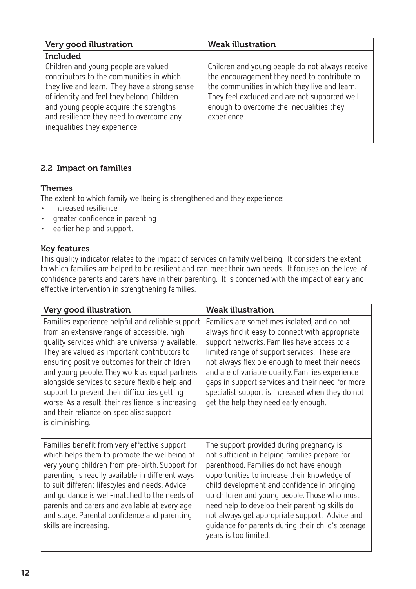| Very good illustration                                                                                                                                                                                                                                                                                 | <b>Weak illustration</b>                                                                                                                                                                                                                                     |
|--------------------------------------------------------------------------------------------------------------------------------------------------------------------------------------------------------------------------------------------------------------------------------------------------------|--------------------------------------------------------------------------------------------------------------------------------------------------------------------------------------------------------------------------------------------------------------|
| <b>Included</b>                                                                                                                                                                                                                                                                                        |                                                                                                                                                                                                                                                              |
| Children and young people are valued<br>contributors to the communities in which<br>they live and learn. They have a strong sense<br>of identity and feel they belong. Children<br>and young people acquire the strengths<br>and resilience they need to overcome any<br>inequalities they experience. | Children and young people do not always receive<br>the encouragement they need to contribute to<br>the communities in which they live and learn.<br>They feel excluded and are not supported well<br>enough to overcome the inequalities they<br>experience. |
|                                                                                                                                                                                                                                                                                                        |                                                                                                                                                                                                                                                              |

# 2.2 Impact on families

## Themes

The extent to which family wellbeing is strengthened and they experience:

- • increased resilience
- • greater confidence in parenting
- • earlier help and support.

## Key features

This quality indicator relates to the impact of services on family wellbeing. It considers the extent to which families are helped to be resilient and can meet their own needs. It focuses on the level of confidence parents and carers have in their parenting. It is concerned with the impact of early and effective intervention in strengthening families.

| Very good illustration                                                                                                                                                                                                                                                                                                                                                                                                                                                                                                         | <b>Weak illustration</b>                                                                                                                                                                                                                                                                                                                                                                                                                                                |
|--------------------------------------------------------------------------------------------------------------------------------------------------------------------------------------------------------------------------------------------------------------------------------------------------------------------------------------------------------------------------------------------------------------------------------------------------------------------------------------------------------------------------------|-------------------------------------------------------------------------------------------------------------------------------------------------------------------------------------------------------------------------------------------------------------------------------------------------------------------------------------------------------------------------------------------------------------------------------------------------------------------------|
| Families experience helpful and reliable support<br>from an extensive range of accessible, high<br>quality services which are universally available.<br>They are valued as important contributors to<br>ensuring positive outcomes for their children<br>and young people. They work as equal partners<br>alongside services to secure flexible help and<br>support to prevent their difficulties getting<br>worse. As a result, their resilience is increasing<br>and their reliance on specialist support<br>is diminishing. | Families are sometimes isolated, and do not<br>always find it easy to connect with appropriate<br>support networks. Families have access to a<br>limited range of support services. These are<br>not always flexible enough to meet their needs<br>and are of variable quality. Families experience<br>gaps in support services and their need for more<br>specialist support is increased when they do not<br>get the help they need early enough.                     |
| Families benefit from very effective support<br>which helps them to promote the wellbeing of<br>very young children from pre-birth. Support for<br>parenting is readily available in different ways<br>to suit different lifestyles and needs. Advice<br>and quidance is well-matched to the needs of<br>parents and carers and available at every age<br>and stage. Parental confidence and parenting<br>skills are increasing.                                                                                               | The support provided during pregnancy is<br>not sufficient in helping families prepare for<br>parenthood. Families do not have enough<br>opportunities to increase their knowledge of<br>child development and confidence in bringing<br>up children and young people. Those who most<br>need help to develop their parenting skills do<br>not always get appropriate support. Advice and<br>quidance for parents during their child's teenage<br>years is too limited. |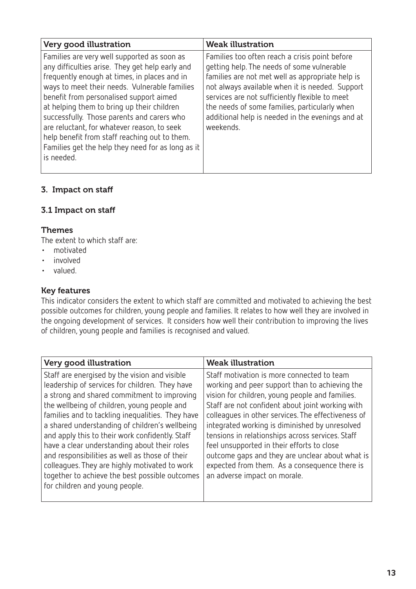| Very good illustration                                                                                                                                                                                                                                                                                                                                                                                                                                                                                    | <b>Weak illustration</b>                                                                                                                                                                                                                                                                                                                                                |
|-----------------------------------------------------------------------------------------------------------------------------------------------------------------------------------------------------------------------------------------------------------------------------------------------------------------------------------------------------------------------------------------------------------------------------------------------------------------------------------------------------------|-------------------------------------------------------------------------------------------------------------------------------------------------------------------------------------------------------------------------------------------------------------------------------------------------------------------------------------------------------------------------|
| Families are very well supported as soon as<br>any difficulties arise. They get help early and<br>frequently enough at times, in places and in<br>ways to meet their needs. Vulnerable families<br>benefit from personalised support aimed<br>at helping them to bring up their children<br>successfully. Those parents and carers who<br>are reluctant, for whatever reason, to seek<br>help benefit from staff reaching out to them.<br>Families get the help they need for as long as it<br>is needed. | Families too often reach a crisis point before<br>getting help. The needs of some vulnerable<br>families are not met well as appropriate help is<br>not always available when it is needed. Support<br>services are not sufficiently flexible to meet<br>the needs of some families, particularly when<br>additional help is needed in the evenings and at<br>weekends. |

# 3. Impact on staff

## 3.1 Impact on staff

#### **Themes**

The extent to which staff are:

- • motivated
- • involved
- • valued.

#### Key features

This indicator considers the extent to which staff are committed and motivated to achieving the best possible outcomes for children, young people and families. It relates to how well they are involved in the ongoing development of services. It considers how well their contribution to improving the lives of children, young people and families is recognised and valued.

| Very good illustration                                                                                                                                                                                                                                                                                                                                                                                                                                                                                                                                                                        | <b>Weak illustration</b>                                                                                                                                                                                                                                                                                                                                                                                                                                                                                                                          |
|-----------------------------------------------------------------------------------------------------------------------------------------------------------------------------------------------------------------------------------------------------------------------------------------------------------------------------------------------------------------------------------------------------------------------------------------------------------------------------------------------------------------------------------------------------------------------------------------------|---------------------------------------------------------------------------------------------------------------------------------------------------------------------------------------------------------------------------------------------------------------------------------------------------------------------------------------------------------------------------------------------------------------------------------------------------------------------------------------------------------------------------------------------------|
| Staff are energised by the vision and visible<br>leadership of services for children. They have<br>a strong and shared commitment to improving<br>the wellbeing of children, young people and<br>families and to tackling inequalities. They have<br>a shared understanding of children's wellbeing<br>and apply this to their work confidently. Staff<br>have a clear understanding about their roles<br>and responsibilities as well as those of their<br>colleagues. They are highly motivated to work<br>together to achieve the best possible outcomes<br>for children and young people. | Staff motivation is more connected to team<br>working and peer support than to achieving the<br>vision for children, young people and families.<br>Staff are not confident about joint working with<br>colleagues in other services. The effectiveness of<br>integrated working is diminished by unresolved<br>tensions in relationships across services. Staff<br>feel unsupported in their efforts to close<br>outcome gaps and they are unclear about what is<br>expected from them. As a consequence there is<br>an adverse impact on morale. |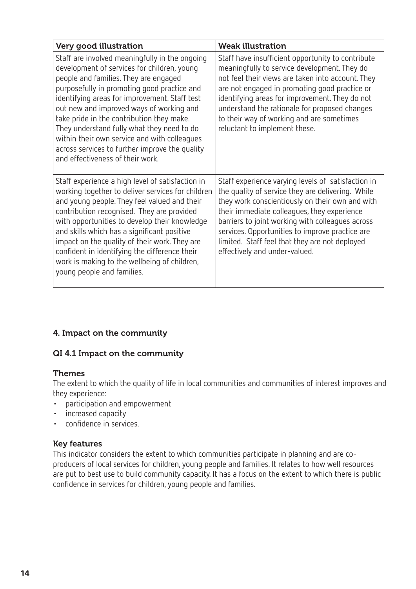| Very good illustration                                                                                                                                                                                                                                                                                                                                                                                                                                                                                              | <b>Weak illustration</b>                                                                                                                                                                                                                                                                                                                                                                            |
|---------------------------------------------------------------------------------------------------------------------------------------------------------------------------------------------------------------------------------------------------------------------------------------------------------------------------------------------------------------------------------------------------------------------------------------------------------------------------------------------------------------------|-----------------------------------------------------------------------------------------------------------------------------------------------------------------------------------------------------------------------------------------------------------------------------------------------------------------------------------------------------------------------------------------------------|
| Staff are involved meaningfully in the ongoing<br>development of services for children, young<br>people and families. They are engaged<br>purposefully in promoting good practice and<br>identifying areas for improvement. Staff test<br>out new and improved ways of working and<br>take pride in the contribution they make.<br>They understand fully what they need to do<br>within their own service and with colleagues<br>across services to further improve the quality<br>and effectiveness of their work. | Staff have insufficient opportunity to contribute<br>meaningfully to service development. They do<br>not feel their views are taken into account. They<br>are not engaged in promoting good practice or<br>identifying areas for improvement. They do not<br>understand the rationale for proposed changes<br>to their way of working and are sometimes<br>reluctant to implement these.            |
| Staff experience a high level of satisfaction in<br>working together to deliver services for children<br>and young people. They feel valued and their<br>contribution recognised. They are provided<br>with opportunities to develop their knowledge<br>and skills which has a significant positive<br>impact on the quality of their work. They are<br>confident in identifying the difference their<br>work is making to the wellbeing of children,<br>young people and families.                                 | Staff experience varying levels of satisfaction in<br>the quality of service they are delivering. While<br>they work conscientiously on their own and with<br>their immediate colleagues, they experience<br>barriers to joint working with colleagues across<br>services. Opportunities to improve practice are<br>limited. Staff feel that they are not deployed<br>effectively and under-valued. |

# 4. Impact on the community

#### QI 4.1 Impact on the community

#### Themes

The extent to which the quality of life in local communities and communities of interest improves and they experience:

- • participation and empowerment
- • increased capacity
- • confidence in services.

#### Key features

This indicator considers the extent to which communities participate in planning and are coproducers of local services for children, young people and families. It relates to how well resources are put to best use to build community capacity. It has a focus on the extent to which there is public confidence in services for children, young people and families.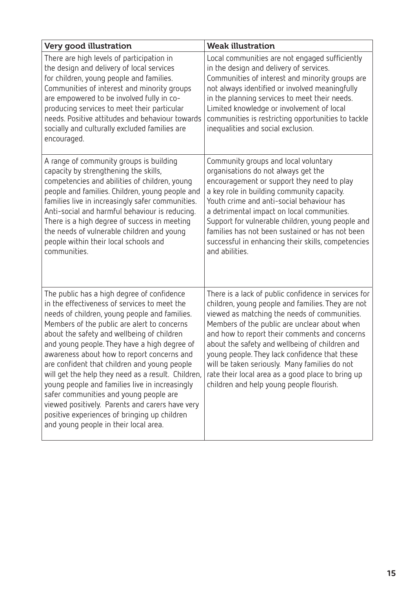| Very good illustration                                                                                                                                                                                                                                                                                                                                                                                                                                                                                                                                                                                                                                                               | <b>Weak illustration</b>                                                                                                                                                                                                                                                                                                                                                                                                                                                                                        |
|--------------------------------------------------------------------------------------------------------------------------------------------------------------------------------------------------------------------------------------------------------------------------------------------------------------------------------------------------------------------------------------------------------------------------------------------------------------------------------------------------------------------------------------------------------------------------------------------------------------------------------------------------------------------------------------|-----------------------------------------------------------------------------------------------------------------------------------------------------------------------------------------------------------------------------------------------------------------------------------------------------------------------------------------------------------------------------------------------------------------------------------------------------------------------------------------------------------------|
| There are high levels of participation in<br>the design and delivery of local services<br>for children, young people and families.<br>Communities of interest and minority groups<br>are empowered to be involved fully in co-<br>producing services to meet their particular<br>needs. Positive attitudes and behaviour towards<br>socially and culturally excluded families are<br>encouraged.                                                                                                                                                                                                                                                                                     | Local communities are not engaged sufficiently<br>in the design and delivery of services.<br>Communities of interest and minority groups are<br>not always identified or involved meaningfully<br>in the planning services to meet their needs.<br>Limited knowledge or involvement of local<br>communities is restricting opportunities to tackle<br>inequalities and social exclusion.                                                                                                                        |
| A range of community groups is building<br>capacity by strengthening the skills,<br>competencies and abilities of children, young<br>people and families. Children, young people and<br>families live in increasingly safer communities.<br>Anti-social and harmful behaviour is reducing.<br>There is a high degree of success in meeting<br>the needs of vulnerable children and young<br>people within their local schools and<br>communities.                                                                                                                                                                                                                                    | Community groups and local voluntary<br>organisations do not always get the<br>encouragement or support they need to play<br>a key role in building community capacity.<br>Youth crime and anti-social behaviour has<br>a detrimental impact on local communities.<br>Support for vulnerable children, young people and<br>families has not been sustained or has not been<br>successful in enhancing their skills, competencies<br>and abilities.                                                              |
| The public has a high degree of confidence<br>in the effectiveness of services to meet the<br>needs of children, young people and families.<br>Members of the public are alert to concerns<br>about the safety and wellbeing of children<br>and young people. They have a high degree of<br>awareness about how to report concerns and<br>are confident that children and young people<br>will get the help they need as a result. Children,<br>young people and families live in increasingly<br>safer communities and young people are<br>viewed positively. Parents and carers have very<br>positive experiences of bringing up children<br>and young people in their local area. | There is a lack of public confidence in services for<br>children, young people and families. They are not<br>viewed as matching the needs of communities.<br>Members of the public are unclear about when<br>and how to report their comments and concerns<br>about the safety and wellbeing of children and<br>young people. They lack confidence that these<br>will be taken seriously. Many families do not<br>rate their local area as a good place to bring up<br>children and help young people flourish. |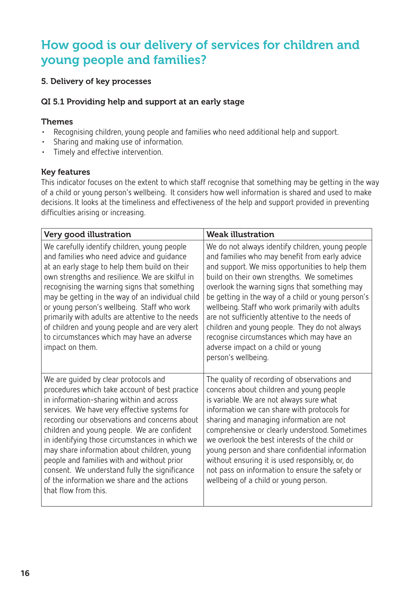# How good is our delivery of services for children and young people and families?

#### 5. Delivery of key processes

## QI 5.1 Providing help and support at an early stage

#### Themes

- Recognising children, young people and families who need additional help and support.
- • Sharing and making use of information.
- • Timely and effective intervention.

#### Key features

This indicator focuses on the extent to which staff recognise that something may be getting in the way of a child or young person's wellbeing. It considers how well information is shared and used to make decisions. It looks at the timeliness and effectiveness of the help and support provided in preventing difficulties arising or increasing.

| Very good illustration                                                                                                                                                                                                                                                                                                                                                                                                                                                                                                                                    | <b>Weak illustration</b>                                                                                                                                                                                                                                                                                                                                                                                                                                                                                                                                                   |
|-----------------------------------------------------------------------------------------------------------------------------------------------------------------------------------------------------------------------------------------------------------------------------------------------------------------------------------------------------------------------------------------------------------------------------------------------------------------------------------------------------------------------------------------------------------|----------------------------------------------------------------------------------------------------------------------------------------------------------------------------------------------------------------------------------------------------------------------------------------------------------------------------------------------------------------------------------------------------------------------------------------------------------------------------------------------------------------------------------------------------------------------------|
| We carefully identify children, young people<br>and families who need advice and guidance<br>at an early stage to help them build on their<br>own strengths and resilience. We are skilful in<br>recognising the warning signs that something<br>may be getting in the way of an individual child<br>or young person's wellbeing. Staff who work<br>primarily with adults are attentive to the needs<br>of children and young people and are very alert<br>to circumstances which may have an adverse<br>impact on them.                                  | We do not always identify children, young people<br>and families who may benefit from early advice<br>and support. We miss opportunities to help them<br>build on their own strengths. We sometimes<br>overlook the warning signs that something may<br>be getting in the way of a child or young person's<br>wellbeing. Staff who work primarily with adults<br>are not sufficiently attentive to the needs of<br>children and young people. They do not always<br>recognise circumstances which may have an<br>adverse impact on a child or young<br>person's wellbeing. |
| We are guided by clear protocols and<br>procedures which take account of best practice<br>in information-sharing within and across<br>services. We have very effective systems for<br>recording our observations and concerns about<br>children and young people. We are confident<br>in identifying those circumstances in which we<br>may share information about children, young<br>people and families with and without prior<br>consent. We understand fully the significance<br>of the information we share and the actions<br>that flow from this. | The quality of recording of observations and<br>concerns about children and young people<br>is variable. We are not always sure what<br>information we can share with protocols for<br>sharing and managing information are not<br>comprehensive or clearly understood. Sometimes<br>we overlook the best interests of the child or<br>young person and share confidential information<br>without ensuring it is used responsibly, or, do<br>not pass on information to ensure the safety or<br>wellbeing of a child or young person.                                      |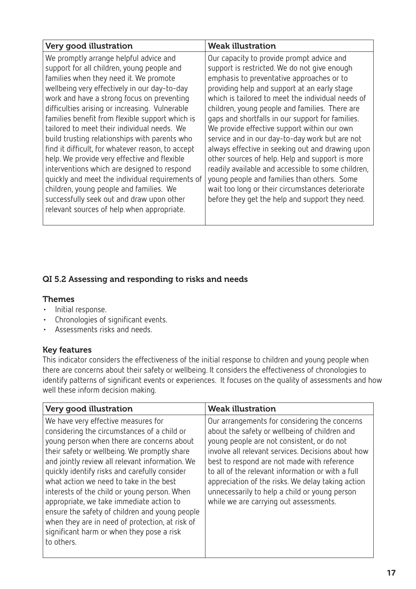| Very good illustration                                                                                                                                                                                                                                                                                                                                                                                                                                                                                                                                                                                                                                                                                                                                                         | <b>Weak illustration</b>                                                                                                                                                                                                                                                                                                                                                                                                                                                                                                                                                                                                                                                                                                                                              |
|--------------------------------------------------------------------------------------------------------------------------------------------------------------------------------------------------------------------------------------------------------------------------------------------------------------------------------------------------------------------------------------------------------------------------------------------------------------------------------------------------------------------------------------------------------------------------------------------------------------------------------------------------------------------------------------------------------------------------------------------------------------------------------|-----------------------------------------------------------------------------------------------------------------------------------------------------------------------------------------------------------------------------------------------------------------------------------------------------------------------------------------------------------------------------------------------------------------------------------------------------------------------------------------------------------------------------------------------------------------------------------------------------------------------------------------------------------------------------------------------------------------------------------------------------------------------|
| We promptly arrange helpful advice and<br>support for all children, young people and<br>families when they need it. We promote<br>wellbeing very effectively in our day-to-day<br>work and have a strong focus on preventing<br>difficulties arising or increasing. Vulnerable<br>families benefit from flexible support which is<br>tailored to meet their individual needs. We<br>build trusting relationships with parents who<br>find it difficult, for whatever reason, to accept<br>help. We provide very effective and flexible<br>interventions which are designed to respond<br>quickly and meet the individual requirements of<br>children, young people and families. We<br>successfully seek out and draw upon other<br>relevant sources of help when appropriate. | Our capacity to provide prompt advice and<br>support is restricted. We do not give enough<br>emphasis to preventative approaches or to<br>providing help and support at an early stage<br>which is tailored to meet the individual needs of<br>children, young people and families. There are<br>gaps and shortfalls in our support for families.<br>We provide effective support within our own<br>service and in our day-to-day work but are not<br>always effective in seeking out and drawing upon<br>other sources of help. Help and support is more<br>readily available and accessible to some children,<br>young people and families than others. Some<br>wait too long or their circumstances deteriorate<br>before they get the help and support they need. |

# QI 5.2 Assessing and responding to risks and needs

#### Themes

- • Initial response.
- • Chronologies of significant events.
- • Assessments risks and needs.

#### Key features

This indicator considers the effectiveness of the initial response to children and young people when there are concerns about their safety or wellbeing. It considers the effectiveness of chronologies to identify patterns of significant events or experiences. It focuses on the quality of assessments and how well these inform decision making.

| Very good illustration                                                                                                                                                                                                                                                                                                                                                                                                                                                                                                                                                                      | <b>Weak illustration</b>                                                                                                                                                                                                                                                                                                                                                                                                                               |
|---------------------------------------------------------------------------------------------------------------------------------------------------------------------------------------------------------------------------------------------------------------------------------------------------------------------------------------------------------------------------------------------------------------------------------------------------------------------------------------------------------------------------------------------------------------------------------------------|--------------------------------------------------------------------------------------------------------------------------------------------------------------------------------------------------------------------------------------------------------------------------------------------------------------------------------------------------------------------------------------------------------------------------------------------------------|
| We have very effective measures for<br>considering the circumstances of a child or<br>young person when there are concerns about<br>their safety or wellbeing. We promptly share<br>and jointly review all relevant information. We<br>quickly identify risks and carefully consider<br>what action we need to take in the best<br>interests of the child or young person. When<br>appropriate, we take immediate action to<br>ensure the safety of children and young people<br>when they are in need of protection, at risk of<br>significant harm or when they pose a risk<br>to others. | Our arrangements for considering the concerns<br>about the safety or wellbeing of children and<br>young people are not consistent, or do not<br>involve all relevant services. Decisions about how<br>best to respond are not made with reference<br>to all of the relevant information or with a full<br>appreciation of the risks. We delay taking action<br>unnecessarily to help a child or young person<br>while we are carrying out assessments. |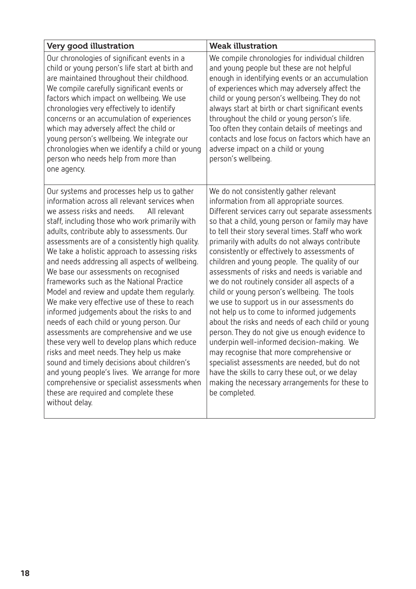| Very good illustration                                                                                                                                                                                                                                                                                                                                                                                                                                                                                                                                                                                                                                                                                                                                                                                                                                                                                                                                                                                                              | <b>Weak illustration</b>                                                                                                                                                                                                                                                                                                                                                                                                                                                                                                                                                                                                                                                                                                                                                                                                                                                                                                                                                                                                    |
|-------------------------------------------------------------------------------------------------------------------------------------------------------------------------------------------------------------------------------------------------------------------------------------------------------------------------------------------------------------------------------------------------------------------------------------------------------------------------------------------------------------------------------------------------------------------------------------------------------------------------------------------------------------------------------------------------------------------------------------------------------------------------------------------------------------------------------------------------------------------------------------------------------------------------------------------------------------------------------------------------------------------------------------|-----------------------------------------------------------------------------------------------------------------------------------------------------------------------------------------------------------------------------------------------------------------------------------------------------------------------------------------------------------------------------------------------------------------------------------------------------------------------------------------------------------------------------------------------------------------------------------------------------------------------------------------------------------------------------------------------------------------------------------------------------------------------------------------------------------------------------------------------------------------------------------------------------------------------------------------------------------------------------------------------------------------------------|
| Our chronologies of significant events in a<br>child or young person's life start at birth and<br>are maintained throughout their childhood.<br>We compile carefully significant events or<br>factors which impact on wellbeing. We use<br>chronologies very effectively to identify<br>concerns or an accumulation of experiences<br>which may adversely affect the child or<br>young person's wellbeing. We integrate our<br>chronologies when we identify a child or young<br>person who needs help from more than<br>one agency.                                                                                                                                                                                                                                                                                                                                                                                                                                                                                                | We compile chronologies for individual children<br>and young people but these are not helpful<br>enough in identifying events or an accumulation<br>of experiences which may adversely affect the<br>child or young person's wellbeing. They do not<br>always start at birth or chart significant events<br>throughout the child or young person's life.<br>Too often they contain details of meetings and<br>contacts and lose focus on factors which have an<br>adverse impact on a child or young<br>person's wellbeing.                                                                                                                                                                                                                                                                                                                                                                                                                                                                                                 |
| Our systems and processes help us to gather<br>information across all relevant services when<br>we assess risks and needs.<br>All relevant<br>staff, including those who work primarily with<br>adults, contribute ably to assessments. Our<br>assessments are of a consistently high quality.<br>We take a holistic approach to assessing risks<br>and needs addressing all aspects of wellbeing.<br>We base our assessments on recognised<br>frameworks such as the National Practice<br>Model and review and update them regularly.<br>We make very effective use of these to reach<br>informed judgements about the risks to and<br>needs of each child or young person. Our<br>assessments are comprehensive and we use<br>these very well to develop plans which reduce<br>risks and meet needs. They help us make<br>sound and timely decisions about children's<br>and young people's lives. We arrange for more<br>comprehensive or specialist assessments when<br>these are required and complete these<br>without delay. | We do not consistently gather relevant<br>information from all appropriate sources.<br>Different services carry out separate assessments<br>so that a child, young person or family may have<br>to tell their story several times. Staff who work<br>primarily with adults do not always contribute<br>consistently or effectively to assessments of<br>children and young people. The quality of our<br>assessments of risks and needs is variable and<br>we do not routinely consider all aspects of a<br>child or young person's wellbeing. The tools<br>we use to support us in our assessments do<br>not help us to come to informed judgements<br>about the risks and needs of each child or young<br>person. They do not give us enough evidence to<br>underpin well-informed decision-making. We<br>may recognise that more comprehensive or<br>specialist assessments are needed, but do not<br>have the skills to carry these out, or we delay<br>making the necessary arrangements for these to<br>be completed. |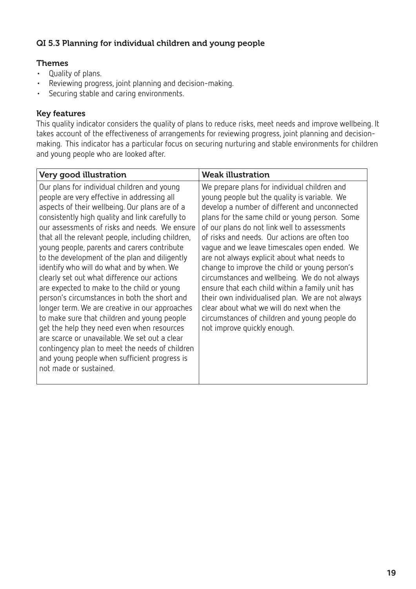# QI 5.3 Planning for individual children and young people

#### Themes

- • Quality of plans.
- • Reviewing progress, joint planning and decision-making.
- Securing stable and caring environments.

#### Key features

This quality indicator considers the quality of plans to reduce risks, meet needs and improve wellbeing. It takes account of the effectiveness of arrangements for reviewing progress, joint planning and decisionmaking. This indicator has a particular focus on securing nurturing and stable environments for children and young people who are looked after.

| We prepare plans for individual children and<br>young people but the quality is variable. We<br>develop a number of different and unconnected<br>plans for the same child or young person. Some<br>of our plans do not link well to assessments<br>of risks and needs. Our actions are often too<br>vaque and we leave timescales open ended. We<br>are not always explicit about what needs to<br>change to improve the child or young person's<br>circumstances and wellbeing. We do not always<br>ensure that each child within a family unit has<br>their own individualised plan. We are not always<br>clear about what we will do next when the<br>circumstances of children and young people do<br>not improve quickly enough. |
|---------------------------------------------------------------------------------------------------------------------------------------------------------------------------------------------------------------------------------------------------------------------------------------------------------------------------------------------------------------------------------------------------------------------------------------------------------------------------------------------------------------------------------------------------------------------------------------------------------------------------------------------------------------------------------------------------------------------------------------|
|                                                                                                                                                                                                                                                                                                                                                                                                                                                                                                                                                                                                                                                                                                                                       |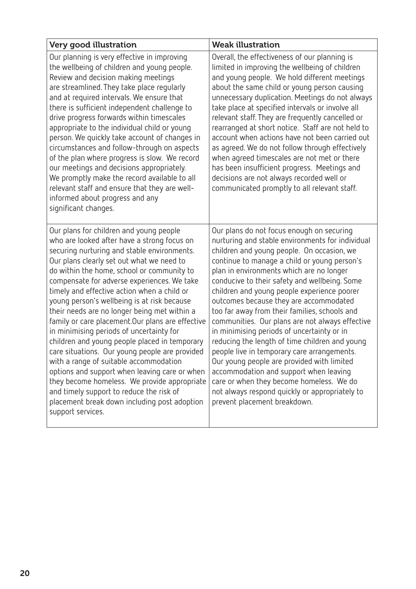| Very good illustration                                                                                                                                                                                                                                                                                                                                                                                                                                                                                                                                                                                                                                                                                                                                                                                                                                                                        | <b>Weak illustration</b>                                                                                                                                                                                                                                                                                                                                                                                                                                                                                                                                                                                                                                                                                                                                                                                                                                   |
|-----------------------------------------------------------------------------------------------------------------------------------------------------------------------------------------------------------------------------------------------------------------------------------------------------------------------------------------------------------------------------------------------------------------------------------------------------------------------------------------------------------------------------------------------------------------------------------------------------------------------------------------------------------------------------------------------------------------------------------------------------------------------------------------------------------------------------------------------------------------------------------------------|------------------------------------------------------------------------------------------------------------------------------------------------------------------------------------------------------------------------------------------------------------------------------------------------------------------------------------------------------------------------------------------------------------------------------------------------------------------------------------------------------------------------------------------------------------------------------------------------------------------------------------------------------------------------------------------------------------------------------------------------------------------------------------------------------------------------------------------------------------|
| Our planning is very effective in improving<br>the wellbeing of children and young people.<br>Review and decision making meetings<br>are streamlined. They take place regularly<br>and at required intervals. We ensure that<br>there is sufficient independent challenge to<br>drive progress forwards within timescales<br>appropriate to the individual child or young<br>person. We quickly take account of changes in<br>circumstances and follow-through on aspects<br>of the plan where progress is slow. We record<br>our meetings and decisions appropriately.<br>We promptly make the record available to all<br>relevant staff and ensure that they are well-<br>informed about progress and any<br>significant changes.                                                                                                                                                           | Overall, the effectiveness of our planning is<br>limited in improving the wellbeing of children<br>and young people. We hold different meetings<br>about the same child or young person causing<br>unnecessary duplication. Meetings do not always<br>take place at specified intervals or involve all<br>relevant staff. They are frequently cancelled or<br>rearranged at short notice. Staff are not held to<br>account when actions have not been carried out<br>as agreed. We do not follow through effectively<br>when agreed timescales are not met or there<br>has been insufficient progress. Meetings and<br>decisions are not always recorded well or<br>communicated promptly to all relevant staff.                                                                                                                                           |
| Our plans for children and young people<br>who are looked after have a strong focus on<br>securing nurturing and stable environments.<br>Our plans clearly set out what we need to<br>do within the home, school or community to<br>compensate for adverse experiences. We take<br>timely and effective action when a child or<br>young person's wellbeing is at risk because<br>their needs are no longer being met within a<br>family or care placement. Our plans are effective<br>in minimising periods of uncertainty for<br>children and young people placed in temporary<br>care situations. Our young people are provided<br>with a range of suitable accommodation<br>options and support when leaving care or when<br>they become homeless. We provide appropriate<br>and timely support to reduce the risk of<br>placement break down including post adoption<br>support services. | Our plans do not focus enough on securing<br>nurturing and stable environments for individual<br>children and young people. On occasion, we<br>continue to manage a child or young person's<br>plan in environments which are no longer<br>conducive to their safety and wellbeing. Some<br>children and young people experience poorer<br>outcomes because they are accommodated<br>too far away from their families, schools and<br>communities. Our plans are not always effective<br>in minimising periods of uncertainty or in<br>reducing the length of time children and young<br>people live in temporary care arrangements.<br>Our young people are provided with limited<br>accommodation and support when leaving<br>care or when they become homeless. We do<br>not always respond quickly or appropriately to<br>prevent placement breakdown. |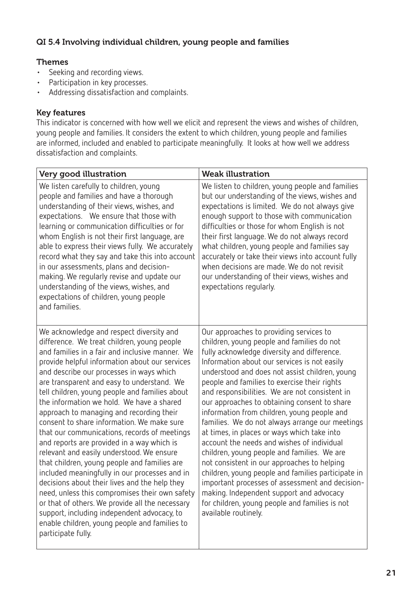# QI 5.4 Involving individual children, young people and families

#### Themes

- • Seeking and recording views.
- Participation in key processes.
- Addressing dissatisfaction and complaints.

#### Key features

This indicator is concerned with how well we elicit and represent the views and wishes of children, young people and families. It considers the extent to which children, young people and families are informed, included and enabled to participate meaningfully. It looks at how well we address dissatisfaction and complaints.

| Very good illustration                                                                                                                                                                                                                                                                                                                                                                                                                                                                                                                                                                                                                                                                                                                                                                                                                                                                                                                                                                                  | <b>Weak illustration</b>                                                                                                                                                                                                                                                                                                                                                                                                                                                                                                                                                                                                                                                                                                                                                                                                                                                                                             |
|---------------------------------------------------------------------------------------------------------------------------------------------------------------------------------------------------------------------------------------------------------------------------------------------------------------------------------------------------------------------------------------------------------------------------------------------------------------------------------------------------------------------------------------------------------------------------------------------------------------------------------------------------------------------------------------------------------------------------------------------------------------------------------------------------------------------------------------------------------------------------------------------------------------------------------------------------------------------------------------------------------|----------------------------------------------------------------------------------------------------------------------------------------------------------------------------------------------------------------------------------------------------------------------------------------------------------------------------------------------------------------------------------------------------------------------------------------------------------------------------------------------------------------------------------------------------------------------------------------------------------------------------------------------------------------------------------------------------------------------------------------------------------------------------------------------------------------------------------------------------------------------------------------------------------------------|
| We listen carefully to children, young<br>people and families and have a thorough<br>understanding of their views, wishes, and<br>expectations. We ensure that those with<br>learning or communication difficulties or for<br>whom English is not their first language, are<br>able to express their views fully. We accurately<br>record what they say and take this into account<br>in our assessments, plans and decision-<br>making. We regularly revise and update our<br>understanding of the views, wishes, and<br>expectations of children, young people<br>and families.                                                                                                                                                                                                                                                                                                                                                                                                                       | We listen to children, young people and families<br>but our understanding of the views, wishes and<br>expectations is limited. We do not always give<br>enough support to those with communication<br>difficulties or those for whom English is not<br>their first language. We do not always record<br>what children, young people and families say<br>accurately or take their views into account fully<br>when decisions are made. We do not revisit<br>our understanding of their views, wishes and<br>expectations regularly.                                                                                                                                                                                                                                                                                                                                                                                   |
| We acknowledge and respect diversity and<br>difference. We treat children, young people<br>and families in a fair and inclusive manner. We<br>provide helpful information about our services<br>and describe our processes in ways which<br>are transparent and easy to understand. We<br>tell children, young people and families about<br>the information we hold. We have a shared<br>approach to managing and recording their<br>consent to share information. We make sure<br>that our communications, records of meetings<br>and reports are provided in a way which is<br>relevant and easily understood. We ensure<br>that children, young people and families are<br>included meaningfully in our processes and in<br>decisions about their lives and the help they<br>need, unless this compromises their own safety<br>or that of others. We provide all the necessary<br>support, including independent advocacy, to<br>enable children, young people and families to<br>participate fully. | Our approaches to providing services to<br>children, young people and families do not<br>fully acknowledge diversity and difference.<br>Information about our services is not easily<br>understood and does not assist children, young<br>people and families to exercise their rights<br>and responsibilities. We are not consistent in<br>our approaches to obtaining consent to share<br>information from children, young people and<br>families. We do not always arrange our meetings<br>at times, in places or ways which take into<br>account the needs and wishes of individual<br>children, young people and families. We are<br>not consistent in our approaches to helping<br>children, young people and families participate in<br>important processes of assessment and decision-<br>making. Independent support and advocacy<br>for children, young people and families is not<br>available routinely. |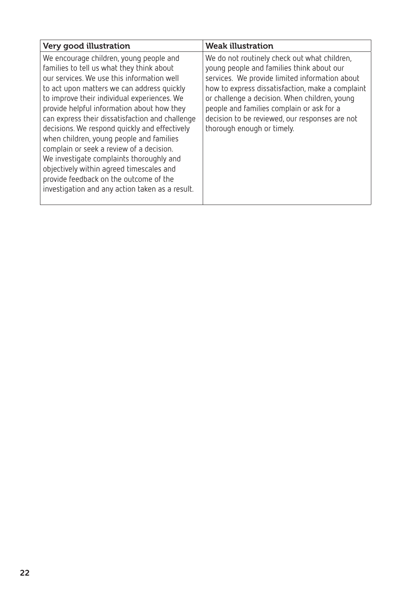| Very good illustration                                                                                                                                                                                                                                                                                                                                                                                                                                                                                                                                                                                                                                         | <b>Weak illustration</b>                                                                                                                                                                                                                                                                                                                                                      |
|----------------------------------------------------------------------------------------------------------------------------------------------------------------------------------------------------------------------------------------------------------------------------------------------------------------------------------------------------------------------------------------------------------------------------------------------------------------------------------------------------------------------------------------------------------------------------------------------------------------------------------------------------------------|-------------------------------------------------------------------------------------------------------------------------------------------------------------------------------------------------------------------------------------------------------------------------------------------------------------------------------------------------------------------------------|
| We encourage children, young people and<br>families to tell us what they think about<br>our services. We use this information well<br>to act upon matters we can address quickly<br>to improve their individual experiences. We<br>provide helpful information about how they<br>can express their dissatisfaction and challenge<br>decisions. We respond quickly and effectively<br>when children, young people and families<br>complain or seek a review of a decision.<br>We investigate complaints thoroughly and<br>objectively within agreed timescales and<br>provide feedback on the outcome of the<br>investigation and any action taken as a result. | We do not routinely check out what children,<br>young people and families think about our<br>services. We provide limited information about<br>how to express dissatisfaction, make a complaint<br>or challenge a decision. When children, young<br>people and families complain or ask for a<br>decision to be reviewed, our responses are not<br>thorough enough or timely. |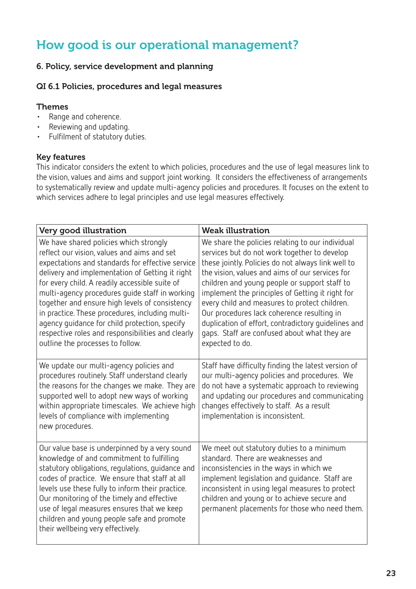# How good is our operational management?

# 6. Policy, service development and planning

#### QI 6.1 Policies, procedures and legal measures

#### Themes

- • Range and coherence.
- • Reviewing and updating.
- • Fulfilment of statutory duties.

## Key features

This indicator considers the extent to which policies, procedures and the use of legal measures link to the vision, values and aims and support joint working. It considers the effectiveness of arrangements to systematically review and update multi-agency policies and procedures. It focuses on the extent to which services adhere to legal principles and use legal measures effectively.

| Very good illustration                                                                                                                                                                                                                                                                                                                                                                                                                                                                                                                          | <b>Weak illustration</b>                                                                                                                                                                                                                                                                                                                                                                                                                                                                                                                |
|-------------------------------------------------------------------------------------------------------------------------------------------------------------------------------------------------------------------------------------------------------------------------------------------------------------------------------------------------------------------------------------------------------------------------------------------------------------------------------------------------------------------------------------------------|-----------------------------------------------------------------------------------------------------------------------------------------------------------------------------------------------------------------------------------------------------------------------------------------------------------------------------------------------------------------------------------------------------------------------------------------------------------------------------------------------------------------------------------------|
| We have shared policies which strongly<br>reflect our vision, values and aims and set<br>expectations and standards for effective service<br>delivery and implementation of Getting it right<br>for every child. A readily accessible suite of<br>multi-agency procedures quide staff in working<br>together and ensure high levels of consistency<br>in practice. These procedures, including multi-<br>agency quidance for child protection, specify<br>respective roles and responsibilities and clearly<br>outline the processes to follow. | We share the policies relating to our individual<br>services but do not work together to develop<br>these jointly. Policies do not always link well to<br>the vision, values and aims of our services for<br>children and young people or support staff to<br>implement the principles of Getting it right for<br>every child and measures to protect children.<br>Our procedures lack coherence resulting in<br>duplication of effort, contradictory quidelines and<br>gaps. Staff are confused about what they are<br>expected to do. |
| We update our multi-agency policies and<br>procedures routinely. Staff understand clearly<br>the reasons for the changes we make. They are<br>supported well to adopt new ways of working<br>within appropriate timescales. We achieve high<br>levels of compliance with implementing<br>new procedures.                                                                                                                                                                                                                                        | Staff have difficulty finding the latest version of<br>our multi-agency policies and procedures. We<br>do not have a systematic approach to reviewing<br>and updating our procedures and communicating<br>changes effectively to staff. As a result<br>implementation is inconsistent.                                                                                                                                                                                                                                                  |
| Our value base is underpinned by a very sound<br>knowledge of and commitment to fulfilling<br>statutory obligations, regulations, guidance and<br>codes of practice. We ensure that staff at all<br>levels use these fully to inform their practice.<br>Our monitoring of the timely and effective<br>use of legal measures ensures that we keep<br>children and young people safe and promote<br>their wellbeing very effectively.                                                                                                             | We meet out statutory duties to a minimum<br>standard. There are weaknesses and<br>inconsistencies in the ways in which we<br>implement legislation and guidance. Staff are<br>inconsistent in using legal measures to protect<br>children and young or to achieve secure and<br>permanent placements for those who need them.                                                                                                                                                                                                          |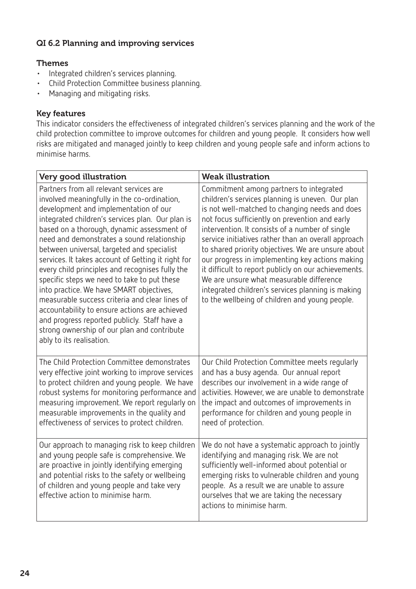# QI 6.2 Planning and improving services

#### Themes

- • Integrated children's services planning.
- • Child Protection Committee business planning.
- • Managing and mitigating risks.

#### Key features

This indicator considers the effectiveness of integrated children's services planning and the work of the child protection committee to improve outcomes for children and young people. It considers how well risks are mitigated and managed jointly to keep children and young people safe and inform actions to minimise harms.

| Very good illustration                                                                                                                                                                                                                                                                                                                                                                                                                                                                                                                                                                                                                                                                                                                                          | <b>Weak illustration</b>                                                                                                                                                                                                                                                                                                                                                                                                                                                                                                                                                                                                      |
|-----------------------------------------------------------------------------------------------------------------------------------------------------------------------------------------------------------------------------------------------------------------------------------------------------------------------------------------------------------------------------------------------------------------------------------------------------------------------------------------------------------------------------------------------------------------------------------------------------------------------------------------------------------------------------------------------------------------------------------------------------------------|-------------------------------------------------------------------------------------------------------------------------------------------------------------------------------------------------------------------------------------------------------------------------------------------------------------------------------------------------------------------------------------------------------------------------------------------------------------------------------------------------------------------------------------------------------------------------------------------------------------------------------|
| Partners from all relevant services are<br>involved meaningfully in the co-ordination,<br>development and implementation of our<br>integrated children's services plan. Our plan is<br>based on a thorough, dynamic assessment of<br>need and demonstrates a sound relationship<br>between universal, targeted and specialist<br>services. It takes account of Getting it right for<br>every child principles and recognises fully the<br>specific steps we need to take to put these<br>into practice. We have SMART objectives,<br>measurable success criteria and clear lines of<br>accountability to ensure actions are achieved<br>and progress reported publicly. Staff have a<br>strong ownership of our plan and contribute<br>ably to its realisation. | Commitment among partners to integrated<br>children's services planning is uneven. Our plan<br>is not well-matched to changing needs and does<br>not focus sufficiently on prevention and early<br>intervention. It consists of a number of single<br>service initiatives rather than an overall approach<br>to shared priority objectives. We are unsure about<br>our progress in implementing key actions making<br>it difficult to report publicly on our achievements.<br>We are unsure what measurable difference<br>integrated children's services planning is making<br>to the wellbeing of children and young people. |
| The Child Protection Committee demonstrates<br>very effective joint working to improve services<br>to protect children and young people. We have<br>robust systems for monitoring performance and<br>measuring improvement. We report regularly on<br>measurable improvements in the quality and<br>effectiveness of services to protect children.                                                                                                                                                                                                                                                                                                                                                                                                              | Our Child Protection Committee meets regularly<br>and has a busy agenda. Our annual report<br>describes our involvement in a wide range of<br>activities. However, we are unable to demonstrate<br>the impact and outcomes of improvements in<br>performance for children and young people in<br>need of protection.                                                                                                                                                                                                                                                                                                          |
| Our approach to managing risk to keep children<br>and young people safe is comprehensive. We<br>are proactive in jointly identifying emerging<br>and potential risks to the safety or wellbeing<br>of children and young people and take very<br>effective action to minimise harm.                                                                                                                                                                                                                                                                                                                                                                                                                                                                             | We do not have a systematic approach to jointly<br>identifying and managing risk. We are not<br>sufficiently well-informed about potential or<br>emerging risks to vulnerable children and young<br>people. As a result we are unable to assure<br>ourselves that we are taking the necessary<br>actions to minimise harm.                                                                                                                                                                                                                                                                                                    |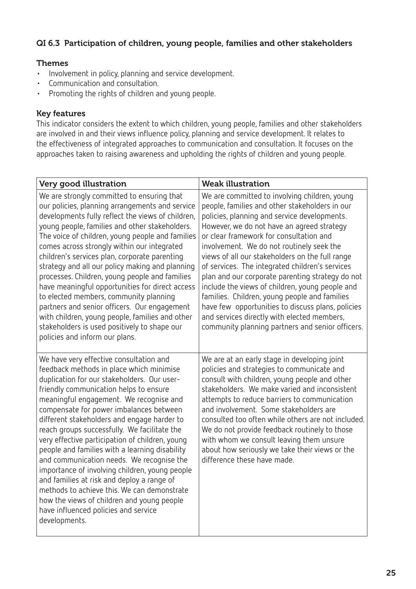# QI 6.3 Participation of children, young people, families and other stakeholders

#### Themes

- • Involvement in policy, planning and service development.
- • Communication and consultation.
- • Promoting the rights of children and young people.

#### Key features

This indicator considers the extent to which children, young people, families and other stakeholders are involved in and their views influence policy, planning and service development. It relates to the effectiveness of integrated approaches to communication and consultation. It focuses on the approaches taken to raising awareness and upholding the rights of children and young people.

| Very good illustration                                                                                                                                                                                                                                                                                                                                                                                                                                                                                                                                                                                                                                                                                                                                                    | <b>Weak illustration</b>                                                                                                                                                                                                                                                                                                                                                                                                                                                                                                                                                                                                                                                                                    |
|---------------------------------------------------------------------------------------------------------------------------------------------------------------------------------------------------------------------------------------------------------------------------------------------------------------------------------------------------------------------------------------------------------------------------------------------------------------------------------------------------------------------------------------------------------------------------------------------------------------------------------------------------------------------------------------------------------------------------------------------------------------------------|-------------------------------------------------------------------------------------------------------------------------------------------------------------------------------------------------------------------------------------------------------------------------------------------------------------------------------------------------------------------------------------------------------------------------------------------------------------------------------------------------------------------------------------------------------------------------------------------------------------------------------------------------------------------------------------------------------------|
| We are strongly committed to ensuring that<br>our policies, planning arrangements and service<br>developments fully reflect the views of children,<br>young people, families and other stakeholders.<br>The voice of children, young people and families<br>comes across strongly within our integrated<br>children's services plan, corporate parenting<br>strategy and all our policy making and planning<br>processes. Children, young people and families<br>have meaningful opportunities for direct access<br>to elected members, community planning<br>partners and senior officers. Our engagement<br>with children, young people, families and other<br>stakeholders is used positively to shape our<br>policies and inform our plans.                           | We are committed to involving children, young<br>people, families and other stakeholders in our<br>policies, planning and service developments.<br>However, we do not have an agreed strategy<br>or clear framework for consultation and<br>involvement. We do not routinely seek the<br>views of all our stakeholders on the full range<br>of services. The integrated children's services<br>plan and our corporate parenting strategy do not<br>include the views of children, young people and<br>families. Children, young people and families<br>have few opportunities to discuss plans, policies<br>and services directly with elected members,<br>community planning partners and senior officers. |
| We have very effective consultation and<br>feedback methods in place which minimise<br>duplication for our stakeholders. Our user-<br>friendly communication helps to ensure<br>meaningful engagement. We recognise and<br>compensate for power imbalances between<br>different stakeholders and engage harder to<br>reach groups successfully. We facilitate the<br>very effective participation of children, young<br>people and families with a learning disability<br>and communication needs. We recognise the<br>importance of involving children, young people<br>and families at risk and deploy a range of<br>methods to achieve this. We can demonstrate<br>how the views of children and young people<br>have influenced policies and service<br>developments. | We are at an early stage in developing joint<br>policies and strategies to communicate and<br>consult with children, young people and other<br>stakeholders. We make varied and inconsistent<br>attempts to reduce barriers to communication<br>and involvement. Some stakeholders are<br>consulted too often while others are not included.<br>We do not provide feedback routinely to those<br>with whom we consult leaving them unsure<br>about how seriously we take their views or the<br>difference these have made.                                                                                                                                                                                  |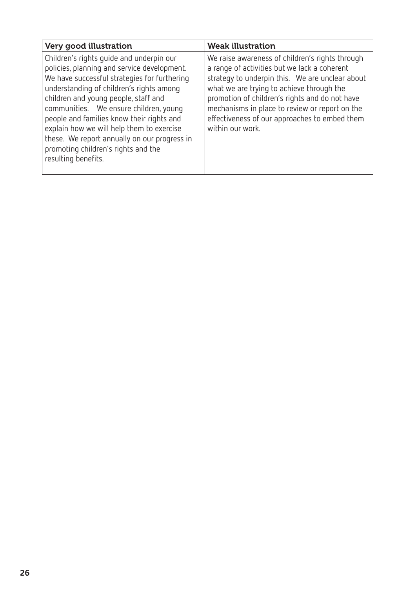| Very good illustration                                                                                                                                                                                                                                                                                                                                                                                                                                                        | <b>Weak illustration</b>                                                                                                                                                                                                                                                                                                                                                 |
|-------------------------------------------------------------------------------------------------------------------------------------------------------------------------------------------------------------------------------------------------------------------------------------------------------------------------------------------------------------------------------------------------------------------------------------------------------------------------------|--------------------------------------------------------------------------------------------------------------------------------------------------------------------------------------------------------------------------------------------------------------------------------------------------------------------------------------------------------------------------|
| Children's rights quide and underpin our<br>policies, planning and service development.<br>We have successful strategies for furthering<br>understanding of children's rights among<br>children and young people, staff and<br>communities. We ensure children, young<br>people and families know their rights and<br>explain how we will help them to exercise<br>these. We report annually on our progress in<br>promoting children's rights and the<br>resulting benefits. | We raise awareness of children's rights through<br>a range of activities but we lack a coherent<br>strategy to underpin this. We are unclear about<br>what we are trying to achieve through the<br>promotion of children's rights and do not have<br>mechanisms in place to review or report on the<br>effectiveness of our approaches to embed them<br>within our work. |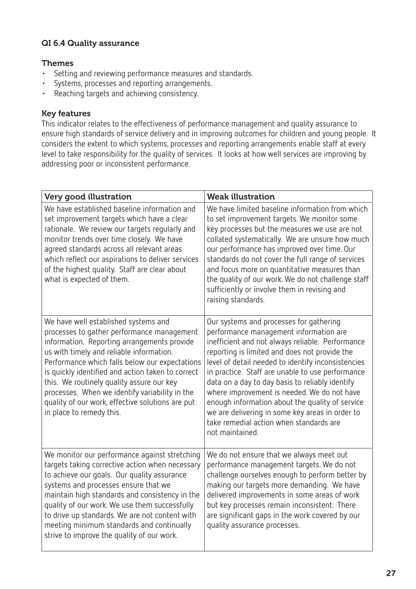# QI 6.4 Quality assurance

#### Themes

- • Setting and reviewing performance measures and standards.
- • Systems, processes and reporting arrangements.
- • Reaching targets and achieving consistency.

#### Key features

This indicator relates to the effectiveness of performance management and quality assurance to ensure high standards of service delivery and in improving outcomes for children and young people. It considers the extent to which systems, processes and reporting arrangements enable staff at every level to take responsibility for the quality of services. It looks at how well services are improving by addressing poor or inconsistent performance.

| Very good illustration                                                                                                                                                                                                                                                                                                                                                                                                                                              | <b>Weak illustration</b>                                                                                                                                                                                                                                                                                                                                                                                                                                                                                                                                               |
|---------------------------------------------------------------------------------------------------------------------------------------------------------------------------------------------------------------------------------------------------------------------------------------------------------------------------------------------------------------------------------------------------------------------------------------------------------------------|------------------------------------------------------------------------------------------------------------------------------------------------------------------------------------------------------------------------------------------------------------------------------------------------------------------------------------------------------------------------------------------------------------------------------------------------------------------------------------------------------------------------------------------------------------------------|
| We have established baseline information and<br>set improvement targets which have a clear<br>rationale. We review our targets regularly and<br>monitor trends over time closely. We have<br>agreed standards across all relevant areas<br>which reflect our aspirations to deliver services<br>of the highest quality. Staff are clear about<br>what is expected of them.                                                                                          | We have limited baseline information from which<br>to set improvement targets. We monitor some<br>key processes but the measures we use are not<br>collated systematically. We are unsure how much<br>our performance has improved over time. Our<br>standards do not cover the full range of services<br>and focus more on quantitative measures than<br>the quality of our work. We do not challenge staff<br>sufficiently or involve them in revising and<br>raising standards.                                                                                     |
| We have well established systems and<br>processes to gather performance management<br>information. Reporting arrangements provide<br>us with timely and reliable information.<br>Performance which falls below our expectations<br>is quickly identified and action taken to correct<br>this. We routinely quality assure our key<br>processes. When we identify variability in the<br>quality of our work, effective solutions are put<br>in place to remedy this. | Our systems and processes for gathering<br>performance management information are<br>inefficient and not always reliable. Performance<br>reporting is limited and does not provide the<br>level of detail needed to identify inconsistencies<br>in practice. Staff are unable to use performance<br>data on a day to day basis to reliably identify<br>where improvement is needed. We do not have<br>enough information about the quality of service<br>we are delivering in some key areas in order to<br>take remedial action when standards are<br>not maintained. |
| We monitor our performance against stretching<br>targets taking corrective action when necessary<br>to achieve our goals. Our quality assurance<br>systems and processes ensure that we<br>maintain high standards and consistency in the<br>quality of our work. We use them successfully<br>to drive up standards. We are not content with<br>meeting minimum standards and continually<br>strive to improve the quality of our work.                             | We do not ensure that we always meet out<br>performance management targets. We do not<br>challenge ourselves enough to perform better by<br>making our targets more demanding. We have<br>delivered improvements in some areas of work<br>but key processes remain inconsistent. There<br>are significant gaps in the work covered by our<br>quality assurance processes.                                                                                                                                                                                              |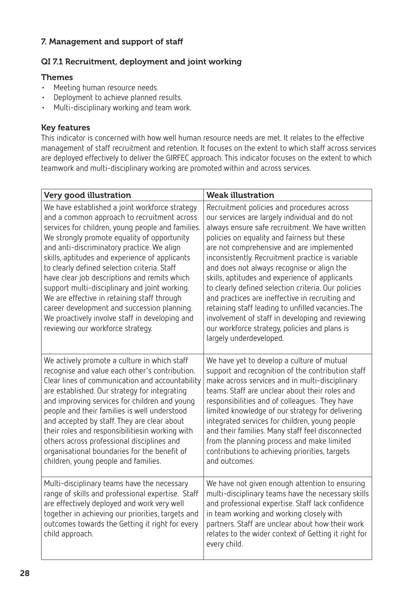## 7. Management and support of staff

# QI 7.1 Recruitment, deployment and joint working

#### Themes

- Meeting human resource needs.
- • Deployment to achieve planned results.
- • Multi-disciplinary working and team work.

#### Key features

This indicator is concerned with how well human resource needs are met. It relates to the effective management of staff recruitment and retention. It focuses on the extent to which staff across services are deployed effectively to deliver the GIRFEC approach. This indicator focuses on the extent to which teamwork and multi-disciplinary working are promoted within and across services.

| Very good illustration                                                                                                                                                                                                                                                                                                                                                                                                                                                                                                                                                                                                                  | <b>Weak illustration</b>                                                                                                                                                                                                                                                                                                                                                                                                                                                                                                                                                                                                                                                                        |
|-----------------------------------------------------------------------------------------------------------------------------------------------------------------------------------------------------------------------------------------------------------------------------------------------------------------------------------------------------------------------------------------------------------------------------------------------------------------------------------------------------------------------------------------------------------------------------------------------------------------------------------------|-------------------------------------------------------------------------------------------------------------------------------------------------------------------------------------------------------------------------------------------------------------------------------------------------------------------------------------------------------------------------------------------------------------------------------------------------------------------------------------------------------------------------------------------------------------------------------------------------------------------------------------------------------------------------------------------------|
| We have established a joint workforce strategy<br>and a common approach to recruitment across<br>services for children, young people and families.<br>We strongly promote equality of opportunity<br>and anti-discriminatory practice. We align<br>skills, aptitudes and experience of applicants<br>to clearly defined selection criteria. Staff<br>have clear job descriptions and remits which<br>support multi-disciplinary and joint working.<br>We are effective in retaining staff through<br>career development and succession planning.<br>We proactively involve staff in developing and<br>reviewing our workforce strategy. | Recruitment policies and procedures across<br>our services are largely individual and do not<br>always ensure safe recruitment. We have written<br>policies on equality and fairness but these<br>are not comprehensive and are implemented<br>inconsistently. Recruitment practice is variable<br>and does not always recognise or align the<br>skills, aptitudes and experience of applicants<br>to clearly defined selection criteria. Our policies<br>and practices are ineffective in recruiting and<br>retaining staff leading to unfilled vacancies. The<br>involvement of staff in developing and reviewing<br>our workforce strategy, policies and plans is<br>largely underdeveloped. |
| We actively promote a culture in which staff<br>recognise and value each other's contribution.<br>Clear lines of communication and accountability<br>are established. Our strategy for integrating<br>and improving services for children and young<br>people and their families is well understood<br>and accepted by staff. They are clear about<br>their roles and responsibilitiesin working with<br>others across professional disciplines and<br>organisational boundaries for the benefit of<br>children, young people and families.                                                                                             | We have yet to develop a culture of mutual<br>support and recognition of the contribution staff<br>make across services and in multi-disciplinary<br>teams. Staff are unclear about their roles and<br>responsibilities and of colleagues. They have<br>limited knowledge of our strategy for delivering<br>integrated services for children, young people<br>and their families. Many staff feel disconnected<br>from the planning process and make limited<br>contributions to achieving priorities, targets<br>and outcomes.                                                                                                                                                                 |
| Multi-disciplinary teams have the necessary<br>range of skills and professional expertise. Staff<br>are effectively deployed and work very well<br>together in achieving our priorities, targets and<br>outcomes towards the Getting it right for every<br>child approach.                                                                                                                                                                                                                                                                                                                                                              | We have not given enough attention to ensuring<br>multi-disciplinary teams have the necessary skills<br>and professional expertise. Staff lack confidence<br>in team working and working closely with<br>partners. Staff are unclear about how their work<br>relates to the wider context of Getting it right for<br>every child.                                                                                                                                                                                                                                                                                                                                                               |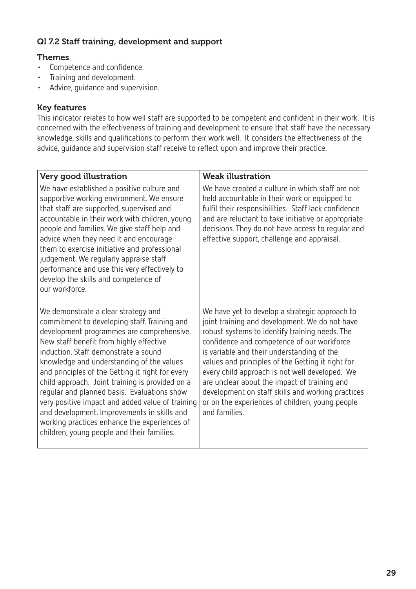# QI 7.2 Staff training, development and support

#### Themes

- • Competence and confidence.
- • Training and development.
- • Advice, guidance and supervision.

#### Key features

This indicator relates to how well staff are supported to be competent and confident in their work. It is concerned with the effectiveness of training and development to ensure that staff have the necessary knowledge, skills and qualifications to perform their work well. It considers the effectiveness of the advice, guidance and supervision staff receive to reflect upon and improve their practice.

| Very good illustration                                                                                                                                                                                                                                                                                                                                                                                                                                                                                                                                                                                                  | <b>Weak illustration</b>                                                                                                                                                                                                                                                                                                                                                                                                                                                                                                       |
|-------------------------------------------------------------------------------------------------------------------------------------------------------------------------------------------------------------------------------------------------------------------------------------------------------------------------------------------------------------------------------------------------------------------------------------------------------------------------------------------------------------------------------------------------------------------------------------------------------------------------|--------------------------------------------------------------------------------------------------------------------------------------------------------------------------------------------------------------------------------------------------------------------------------------------------------------------------------------------------------------------------------------------------------------------------------------------------------------------------------------------------------------------------------|
| We have established a positive culture and<br>supportive working environment. We ensure<br>that staff are supported, supervised and<br>accountable in their work with children, young<br>people and families. We give staff help and<br>advice when they need it and encourage<br>them to exercise initiative and professional<br>judgement. We regularly appraise staff<br>performance and use this very effectively to<br>develop the skills and competence of<br>our workforce.                                                                                                                                      | We have created a culture in which staff are not<br>held accountable in their work or equipped to<br>fulfil their responsibilities. Staff lack confidence<br>and are reluctant to take initiative or appropriate<br>decisions. They do not have access to regular and<br>effective support, challenge and appraisal.                                                                                                                                                                                                           |
| We demonstrate a clear strategy and<br>commitment to developing staff. Training and<br>development programmes are comprehensive.<br>New staff benefit from highly effective<br>induction. Staff demonstrate a sound<br>knowledge and understanding of the values<br>and principles of the Getting it right for every<br>child approach. Joint training is provided on a<br>regular and planned basis. Evaluations show<br>very positive impact and added value of training<br>and development. Improvements in skills and<br>working practices enhance the experiences of<br>children, young people and their families. | We have yet to develop a strategic approach to<br>joint training and development. We do not have<br>robust systems to identify training needs. The<br>confidence and competence of our workforce<br>is variable and their understanding of the<br>values and principles of the Getting it right for<br>every child approach is not well developed. We<br>are unclear about the impact of training and<br>development on staff skills and working practices<br>or on the experiences of children, young people<br>and families. |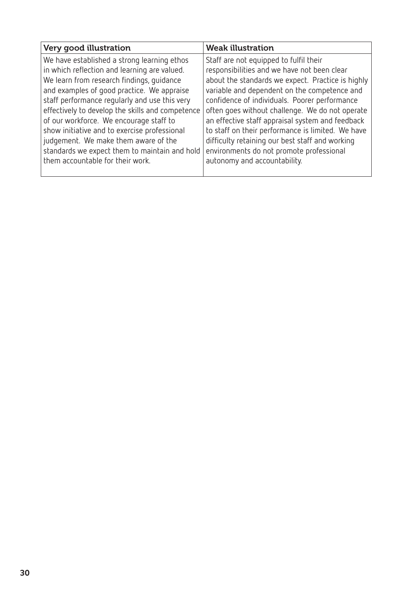| Very good illustration                           | <b>Weak illustration</b>                          |
|--------------------------------------------------|---------------------------------------------------|
| We have established a strong learning ethos      | Staff are not equipped to fulfil their            |
| in which reflection and learning are valued.     | responsibilities and we have not been clear       |
| We learn from research findings, quidance        | about the standards we expect. Practice is highly |
| and examples of good practice. We appraise       | variable and dependent on the competence and      |
| staff performance regularly and use this very    | confidence of individuals. Poorer performance     |
| effectively to develop the skills and competence | often goes without challenge. We do not operate   |
| of our workforce. We encourage staff to          | an effective staff appraisal system and feedback  |
| show initiative and to exercise professional     | to staff on their performance is limited. We have |
| judgement. We make them aware of the             | difficulty retaining our best staff and working   |
| standards we expect them to maintain and hold    | environments do not promote professional          |
| them accountable for their work.                 | autonomy and accountability.                      |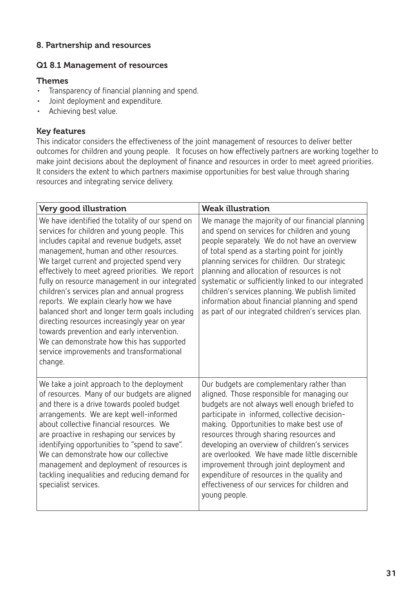# 8. Partnership and resources

#### Q1 8.1 Management of resources

#### Themes

- • Transparency of financial planning and spend.
- • Joint deployment and expenditure.
- • Achieving best value.

#### Key features

This indicator considers the effectiveness of the joint management of resources to deliver better outcomes for children and young people. It focuses on how effectively partners are working together to make joint decisions about the deployment of finance and resources in order to meet agreed priorities. It considers the extent to which partners maximise opportunities for best value through sharing resources and integrating service delivery.

| Very good illustration                                                                                                                                                                                                                                                                                                                                                                                                                                                                                                                                                                                                                                                                        | <b>Weak illustration</b>                                                                                                                                                                                                                                                                                                                                                                                                                                                                                                                             |
|-----------------------------------------------------------------------------------------------------------------------------------------------------------------------------------------------------------------------------------------------------------------------------------------------------------------------------------------------------------------------------------------------------------------------------------------------------------------------------------------------------------------------------------------------------------------------------------------------------------------------------------------------------------------------------------------------|------------------------------------------------------------------------------------------------------------------------------------------------------------------------------------------------------------------------------------------------------------------------------------------------------------------------------------------------------------------------------------------------------------------------------------------------------------------------------------------------------------------------------------------------------|
| We have identified the totality of our spend on<br>services for children and young people. This<br>includes capital and revenue budgets, asset<br>management, human and other resources.<br>We target current and projected spend very<br>effectively to meet agreed priorities. We report<br>fully on resource management in our integrated<br>children's services plan and annual progress<br>reports. We explain clearly how we have<br>balanced short and longer term goals including<br>directing resources increasingly year on year<br>towards prevention and early intervention.<br>We can demonstrate how this has supported<br>service improvements and transformational<br>change. | We manage the majority of our financial planning<br>and spend on services for children and young<br>people separately. We do not have an overview<br>of total spend as a starting point for jointly<br>planning services for children. Our strategic<br>planning and allocation of resources is not<br>systematic or sufficiently linked to our integrated<br>children's services planning. We publish limited<br>information about financial planning and spend<br>as part of our integrated children's services plan.                              |
| We take a joint approach to the deployment<br>of resources. Many of our budgets are aligned<br>and there is a drive towards pooled budget<br>arrangements. We are kept well-informed<br>about collective financial resources. We<br>are proactive in reshaping our services by<br>identifying opportunities to "spend to save".<br>We can demonstrate how our collective<br>management and deployment of resources is<br>tackling inequalities and reducing demand for<br>specialist services.                                                                                                                                                                                                | Our budgets are complementary rather than<br>aligned. Those responsible for managing our<br>budgets are not always well enough briefed to<br>participate in informed, collective decision-<br>making. Opportunities to make best use of<br>resources through sharing resources and<br>developing an overview of children's services<br>are overlooked. We have made little discernible<br>improvement through joint deployment and<br>expenditure of resources in the quality and<br>effectiveness of our services for children and<br>young people. |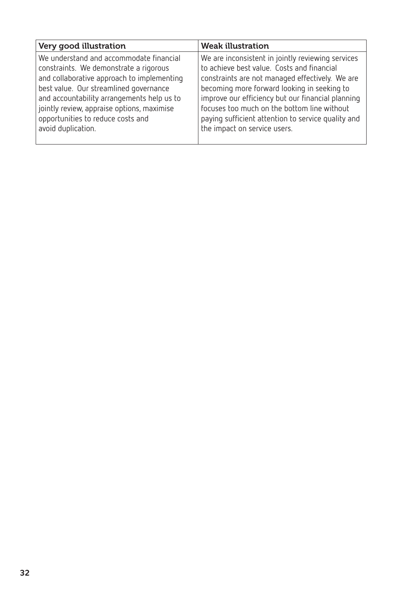| Very good illustration                                                                                                                                                                                                                                                                                                           | <b>Weak illustration</b>                                                                                                                                                                                                                                                                                                                                                                    |
|----------------------------------------------------------------------------------------------------------------------------------------------------------------------------------------------------------------------------------------------------------------------------------------------------------------------------------|---------------------------------------------------------------------------------------------------------------------------------------------------------------------------------------------------------------------------------------------------------------------------------------------------------------------------------------------------------------------------------------------|
| We understand and accommodate financial<br>constraints. We demonstrate a rigorous<br>and collaborative approach to implementing<br>best value. Our streamlined governance<br>and accountability arrangements help us to<br>jointly review, appraise options, maximise<br>opportunities to reduce costs and<br>avoid duplication. | We are inconsistent in jointly reviewing services<br>to achieve best value. Costs and financial<br>constraints are not managed effectively. We are<br>becoming more forward looking in seeking to<br>improve our efficiency but our financial planning<br>focuses too much on the bottom line without<br>paying sufficient attention to service quality and<br>the impact on service users. |
|                                                                                                                                                                                                                                                                                                                                  |                                                                                                                                                                                                                                                                                                                                                                                             |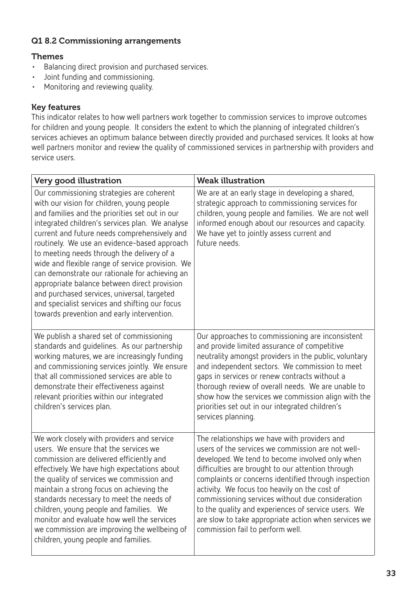# Q1 8.2 Commissioning arrangements

## Themes

- • Balancing direct provision and purchased services.
- • Joint funding and commissioning.
- Monitoring and reviewing quality.

## Key features

This indicator relates to how well partners work together to commission services to improve outcomes for children and young people. It considers the extent to which the planning of integrated children's services achieves an optimum balance between directly provided and purchased services. It looks at how well partners monitor and review the quality of commissioned services in partnership with providers and service users.

| Very good illustration                                                                                                                                                                                                                                                                                                                                                                                                                                                                                                                                                                                                                          | <b>Weak illustration</b>                                                                                                                                                                                                                                                                                                                                                                                                                                                                                                  |  |
|-------------------------------------------------------------------------------------------------------------------------------------------------------------------------------------------------------------------------------------------------------------------------------------------------------------------------------------------------------------------------------------------------------------------------------------------------------------------------------------------------------------------------------------------------------------------------------------------------------------------------------------------------|---------------------------------------------------------------------------------------------------------------------------------------------------------------------------------------------------------------------------------------------------------------------------------------------------------------------------------------------------------------------------------------------------------------------------------------------------------------------------------------------------------------------------|--|
| Our commissioning strategies are coherent<br>with our vision for children, young people<br>and families and the priorities set out in our<br>integrated children's services plan. We analyse<br>current and future needs comprehensively and<br>routinely. We use an evidence-based approach<br>to meeting needs through the delivery of a<br>wide and flexible range of service provision. We<br>can demonstrate our rationale for achieving an<br>appropriate balance between direct provision<br>and purchased services, universal, targeted<br>and specialist services and shifting our focus<br>towards prevention and early intervention. | We are at an early stage in developing a shared,<br>strategic approach to commissioning services for<br>children, young people and families. We are not well<br>informed enough about our resources and capacity.<br>We have yet to jointly assess current and<br>future needs.                                                                                                                                                                                                                                           |  |
| We publish a shared set of commissioning<br>standards and guidelines. As our partnership<br>working matures, we are increasingly funding<br>and commissioning services jointly. We ensure<br>that all commissioned services are able to<br>demonstrate their effectiveness against<br>relevant priorities within our integrated<br>children's services plan.                                                                                                                                                                                                                                                                                    | Our approaches to commissioning are inconsistent<br>and provide limited assurance of competitive<br>neutrality amongst providers in the public, voluntary<br>and independent sectors. We commission to meet<br>gaps in services or renew contracts without a<br>thorough review of overall needs. We are unable to<br>show how the services we commission align with the<br>priorities set out in our integrated children's<br>services planning.                                                                         |  |
| We work closely with providers and service<br>users. We ensure that the services we<br>commission are delivered efficiently and<br>effectively. We have high expectations about<br>the quality of services we commission and<br>maintain a strong focus on achieving the<br>standards necessary to meet the needs of<br>children, young people and families. We<br>monitor and evaluate how well the services<br>we commission are improving the wellbeing of<br>children, young people and families.                                                                                                                                           | The relationships we have with providers and<br>users of the services we commission are not well-<br>developed. We tend to become involved only when<br>difficulties are brought to our attention through<br>complaints or concerns identified through inspection<br>activity. We focus too heavily on the cost of<br>commissioning services without due consideration<br>to the quality and experiences of service users. We<br>are slow to take appropriate action when services we<br>commission fail to perform well. |  |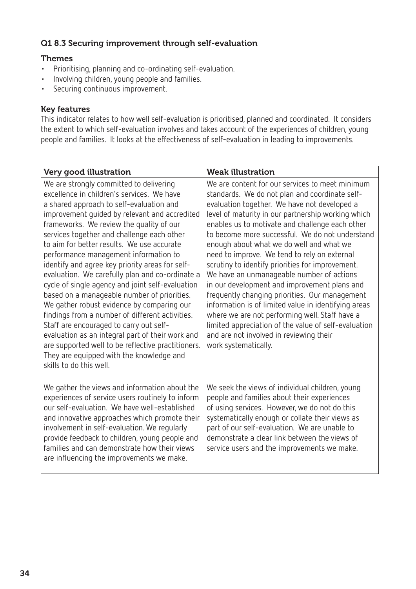#### Q1 8.3 Securing improvement through self-evaluation

# Themes

- • Prioritising, planning and co-ordinating self-evaluation.
- • Involving children, young people and families.
- • Securing continuous improvement.

#### Key features

This indicator relates to how well self-evaluation is prioritised, planned and coordinated. It considers the extent to which self-evaluation involves and takes account of the experiences of children, young people and families. It looks at the effectiveness of self-evaluation in leading to improvements.

| Very good illustration                                                                                                                                                                                                                                                                                                                                                                                                                                                                                                                                                                                                                                                                                                                                                                                                                                                                                    | <b>Weak illustration</b>                                                                                                                                                                                                                                                                                                                                                                                                                                                                                                                                                                                                                                                                                                                                                                                                                          |
|-----------------------------------------------------------------------------------------------------------------------------------------------------------------------------------------------------------------------------------------------------------------------------------------------------------------------------------------------------------------------------------------------------------------------------------------------------------------------------------------------------------------------------------------------------------------------------------------------------------------------------------------------------------------------------------------------------------------------------------------------------------------------------------------------------------------------------------------------------------------------------------------------------------|---------------------------------------------------------------------------------------------------------------------------------------------------------------------------------------------------------------------------------------------------------------------------------------------------------------------------------------------------------------------------------------------------------------------------------------------------------------------------------------------------------------------------------------------------------------------------------------------------------------------------------------------------------------------------------------------------------------------------------------------------------------------------------------------------------------------------------------------------|
| We are strongly committed to delivering<br>excellence in children's services. We have<br>a shared approach to self-evaluation and<br>improvement guided by relevant and accredited<br>frameworks. We review the quality of our<br>services together and challenge each other<br>to aim for better results. We use accurate<br>performance management information to<br>identify and agree key priority areas for self-<br>evaluation. We carefully plan and co-ordinate a<br>cycle of single agency and joint self-evaluation<br>based on a manageable number of priorities.<br>We gather robust evidence by comparing our<br>findings from a number of different activities.<br>Staff are encouraged to carry out self-<br>evaluation as an integral part of their work and<br>are supported well to be reflective practitioners.<br>They are equipped with the knowledge and<br>skills to do this well. | We are content for our services to meet minimum<br>standards. We do not plan and coordinate self-<br>evaluation together. We have not developed a<br>level of maturity in our partnership working which<br>enables us to motivate and challenge each other<br>to become more successful. We do not understand<br>enough about what we do well and what we<br>need to improve. We tend to rely on external<br>scrutiny to identify priorities for improvement.<br>We have an unmanageable number of actions<br>in our development and improvement plans and<br>frequently changing priorities. Our management<br>information is of limited value in identifying areas<br>where we are not performing well. Staff have a<br>limited appreciation of the value of self-evaluation<br>and are not involved in reviewing their<br>work systematically. |
| We gather the views and information about the<br>experiences of service users routinely to inform<br>our self-evaluation. We have well-established<br>and innovative approaches which promote their<br>involvement in self-evaluation. We regularly<br>provide feedback to children, young people and<br>families and can demonstrate how their views<br>are influencing the improvements we make.                                                                                                                                                                                                                                                                                                                                                                                                                                                                                                        | We seek the views of individual children, young<br>people and families about their experiences<br>of using services. However, we do not do this<br>systematically enough or collate their views as<br>part of our self-evaluation. We are unable to<br>demonstrate a clear link between the views of<br>service users and the improvements we make.                                                                                                                                                                                                                                                                                                                                                                                                                                                                                               |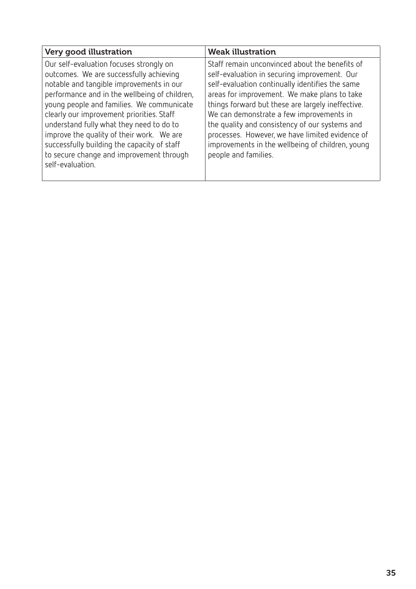| Very good illustration                                                                                                                                                                                                                                                                                                                                                                                                                                                            | <b>Weak illustration</b>                                                                                                                                                                                                                                                                                                                                                                                                                                                            |
|-----------------------------------------------------------------------------------------------------------------------------------------------------------------------------------------------------------------------------------------------------------------------------------------------------------------------------------------------------------------------------------------------------------------------------------------------------------------------------------|-------------------------------------------------------------------------------------------------------------------------------------------------------------------------------------------------------------------------------------------------------------------------------------------------------------------------------------------------------------------------------------------------------------------------------------------------------------------------------------|
| Our self-evaluation focuses strongly on<br>outcomes. We are successfully achieving<br>notable and tangible improvements in our<br>performance and in the wellbeing of children,<br>young people and families. We communicate<br>clearly our improvement priorities. Staff<br>understand fully what they need to do to<br>improve the quality of their work. We are<br>successfully building the capacity of staff<br>to secure change and improvement through<br>self-evaluation. | Staff remain unconvinced about the benefits of<br>self-evaluation in securing improvement. Our<br>self-evaluation continually identifies the same<br>areas for improvement. We make plans to take<br>things forward but these are largely ineffective.<br>We can demonstrate a few improvements in<br>the quality and consistency of our systems and<br>processes. However, we have limited evidence of<br>improvements in the wellbeing of children, young<br>people and families. |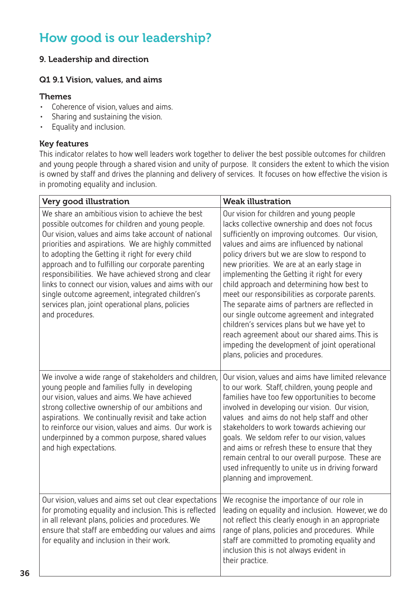# How good is our leadership?

# 9. Leadership and direction

#### Q1 9.1 Vision, values, and aims

#### **Themes**

- • Coherence of vision, values and aims.
- • Sharing and sustaining the vision.
- • Equality and inclusion.

#### Key features

This indicator relates to how well leaders work together to deliver the best possible outcomes for children and young people through a shared vision and unity of purpose. It considers the extent to which the vision is owned by staff and drives the planning and delivery of services. It focuses on how effective the vision is in promoting equality and inclusion.

| Very good illustration                                                                                                                                                                                                                                                                                                                                                                                                                                                                                                                                                  | <b>Weak illustration</b>                                                                                                                                                                                                                                                                                                                                                                                                                                                                                                                                                                                                                                                                                                         |  |
|-------------------------------------------------------------------------------------------------------------------------------------------------------------------------------------------------------------------------------------------------------------------------------------------------------------------------------------------------------------------------------------------------------------------------------------------------------------------------------------------------------------------------------------------------------------------------|----------------------------------------------------------------------------------------------------------------------------------------------------------------------------------------------------------------------------------------------------------------------------------------------------------------------------------------------------------------------------------------------------------------------------------------------------------------------------------------------------------------------------------------------------------------------------------------------------------------------------------------------------------------------------------------------------------------------------------|--|
| We share an ambitious vision to achieve the best<br>possible outcomes for children and young people.<br>Our vision, values and aims take account of national<br>priorities and aspirations. We are highly committed<br>to adopting the Getting it right for every child<br>approach and to fulfilling our corporate parenting<br>responsibilities. We have achieved strong and clear<br>links to connect our vision, values and aims with our<br>single outcome agreement, integrated children's<br>services plan, joint operational plans, policies<br>and procedures. | Our vision for children and young people<br>lacks collective ownership and does not focus<br>sufficiently on improving outcomes. Our vision,<br>values and aims are influenced by national<br>policy drivers but we are slow to respond to<br>new priorities. We are at an early stage in<br>implementing the Getting it right for every<br>child approach and determining how best to<br>meet our responsibilities as corporate parents.<br>The separate aims of partners are reflected in<br>our single outcome agreement and integrated<br>children's services plans but we have yet to<br>reach agreement about our shared aims. This is<br>impeding the development of joint operational<br>plans, policies and procedures. |  |
| We involve a wide range of stakeholders and children,<br>young people and families fully in developing<br>our vision, values and aims. We have achieved<br>strong collective ownership of our ambitions and<br>aspirations. We continually revisit and take action<br>to reinforce our vision, values and aims. Our work is<br>underpinned by a common purpose, shared values<br>and high expectations.                                                                                                                                                                 | Our vision, values and aims have limited relevance<br>to our work. Staff, children, young people and<br>families have too few opportunities to become<br>involved in developing our vision. Our vision,<br>values and aims do not help staff and other<br>stakeholders to work towards achieving our<br>goals. We seldom refer to our vision, values<br>and aims or refresh these to ensure that they<br>remain central to our overall purpose. These are<br>used infrequently to unite us in driving forward<br>planning and improvement.                                                                                                                                                                                       |  |
| Our vision, values and aims set out clear expectations<br>for promoting equality and inclusion. This is reflected<br>in all relevant plans, policies and procedures. We<br>ensure that staff are embedding our values and aims<br>for equality and inclusion in their work.                                                                                                                                                                                                                                                                                             | We recognise the importance of our role in<br>leading on equality and inclusion. However, we do<br>not reflect this clearly enough in an appropriate<br>range of plans, policies and procedures. While<br>staff are committed to promoting equality and<br>inclusion this is not always evident in<br>their practice.                                                                                                                                                                                                                                                                                                                                                                                                            |  |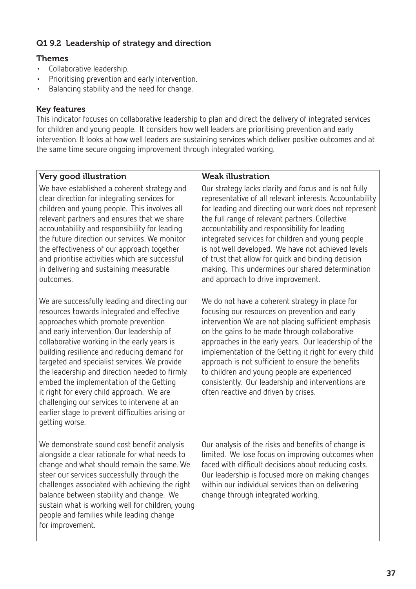# Q1 9.2 Leadership of strategy and direction

# **Themes**

- • Collaborative leadership.
- • Prioritising prevention and early intervention.
- Balancing stability and the need for change.

## Key features

This indicator focuses on collaborative leadership to plan and direct the delivery of integrated services for children and young people. It considers how well leaders are prioritising prevention and early intervention. It looks at how well leaders are sustaining services which deliver positive outcomes and at the same time secure ongoing improvement through integrated working.

| Very good illustration                                                                                                                                                                                                                                                                                                                                                                                                                                                                                                                                                                      | <b>Weak illustration</b>                                                                                                                                                                                                                                                                                                                                                                                                                                                                                                                  |  |
|---------------------------------------------------------------------------------------------------------------------------------------------------------------------------------------------------------------------------------------------------------------------------------------------------------------------------------------------------------------------------------------------------------------------------------------------------------------------------------------------------------------------------------------------------------------------------------------------|-------------------------------------------------------------------------------------------------------------------------------------------------------------------------------------------------------------------------------------------------------------------------------------------------------------------------------------------------------------------------------------------------------------------------------------------------------------------------------------------------------------------------------------------|--|
| We have established a coherent strategy and<br>clear direction for integrating services for<br>children and young people. This involves all<br>relevant partners and ensures that we share<br>accountability and responsibility for leading<br>the future direction our services. We monitor<br>the effectiveness of our approach together<br>and prioritise activities which are successful<br>in delivering and sustaining measurable<br>outcomes.                                                                                                                                        | Our strategy lacks clarity and focus and is not fully<br>representative of all relevant interests. Accountability<br>for leading and directing our work does not represent<br>the full range of relevant partners. Collective<br>accountability and responsibility for leading<br>integrated services for children and young people<br>is not well developed. We have not achieved levels<br>of trust that allow for quick and binding decision<br>making. This undermines our shared determination<br>and approach to drive improvement. |  |
| We are successfully leading and directing our<br>resources towards integrated and effective<br>approaches which promote prevention<br>and early intervention. Our leadership of<br>collaborative working in the early years is<br>building resilience and reducing demand for<br>targeted and specialist services. We provide<br>the leadership and direction needed to firmly<br>embed the implementation of the Getting<br>it right for every child approach. We are<br>challenging our services to intervene at an<br>earlier stage to prevent difficulties arising or<br>getting worse. | We do not have a coherent strategy in place for<br>focusing our resources on prevention and early<br>intervention We are not placing sufficient emphasis<br>on the gains to be made through collaborative<br>approaches in the early years. Our leadership of the<br>implementation of the Getting it right for every child<br>approach is not sufficient to ensure the benefits<br>to children and young people are experienced<br>consistently. Our leadership and interventions are<br>often reactive and driven by crises.            |  |
| We demonstrate sound cost benefit analysis<br>alongside a clear rationale for what needs to<br>change and what should remain the same. We<br>steer our services successfully through the<br>challenges associated with achieving the right<br>balance between stability and change. We<br>sustain what is working well for children, young<br>people and families while leading change<br>for improvement.                                                                                                                                                                                  | Our analysis of the risks and benefits of change is<br>limited. We lose focus on improving outcomes when<br>faced with difficult decisions about reducing costs.<br>Our leadership is focused more on making changes<br>within our individual services than on delivering<br>change through integrated working.                                                                                                                                                                                                                           |  |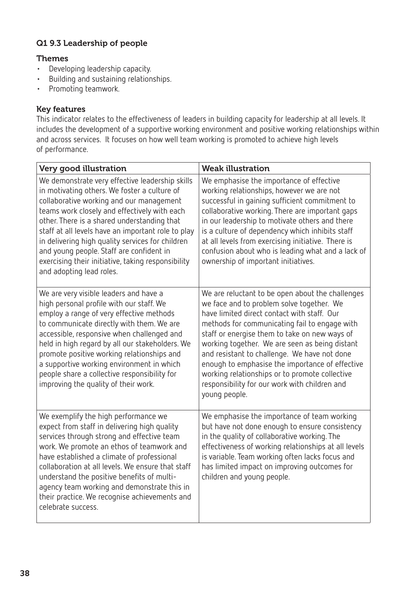# Q1 9.3 Leadership of people

## Themes

- • Developing leadership capacity.
- • Building and sustaining relationships.
- • Promoting teamwork.

#### Key features

This indicator relates to the effectiveness of leaders in building capacity for leadership at all levels. It includes the development of a supportive working environment and positive working relationships within and across services. It focuses on how well team working is promoted to achieve high levels of performance.

| Very good illustration                                                                                                                                                                                                                                                                                                                                                                                                                                                             | <b>Weak illustration</b>                                                                                                                                                                                                                                                                                                                                                                                                                                                                                                |  |
|------------------------------------------------------------------------------------------------------------------------------------------------------------------------------------------------------------------------------------------------------------------------------------------------------------------------------------------------------------------------------------------------------------------------------------------------------------------------------------|-------------------------------------------------------------------------------------------------------------------------------------------------------------------------------------------------------------------------------------------------------------------------------------------------------------------------------------------------------------------------------------------------------------------------------------------------------------------------------------------------------------------------|--|
| We demonstrate very effective leadership skills<br>in motivating others. We foster a culture of<br>collaborative working and our management<br>teams work closely and effectively with each<br>other. There is a shared understanding that<br>staff at all levels have an important role to play<br>in delivering high quality services for children<br>and young people. Staff are confident in<br>exercising their initiative, taking responsibility<br>and adopting lead roles. | We emphasise the importance of effective<br>working relationships, however we are not<br>successful in gaining sufficient commitment to<br>collaborative working. There are important gaps<br>in our leadership to motivate others and there<br>is a culture of dependency which inhibits staff<br>at all levels from exercising initiative. There is<br>confusion about who is leading what and a lack of<br>ownership of important initiatives.                                                                       |  |
| We are very visible leaders and have a<br>high personal profile with our staff. We<br>employ a range of very effective methods<br>to communicate directly with them. We are<br>accessible, responsive when challenged and<br>held in high regard by all our stakeholders. We<br>promote positive working relationships and<br>a supportive working environment in which<br>people share a collective responsibility for<br>improving the quality of their work.                    | We are reluctant to be open about the challenges<br>we face and to problem solve together. We<br>have limited direct contact with staff. Our<br>methods for communicating fail to engage with<br>staff or energise them to take on new ways of<br>working together. We are seen as being distant<br>and resistant to challenge. We have not done<br>enough to emphasise the importance of effective<br>working relationships or to promote collective<br>responsibility for our work with children and<br>young people. |  |
| We exemplify the high performance we<br>expect from staff in delivering high quality<br>services through strong and effective team<br>work. We promote an ethos of teamwork and<br>have established a climate of professional<br>collaboration at all levels. We ensure that staff<br>understand the positive benefits of multi-<br>agency team working and demonstrate this in<br>their practice. We recognise achievements and<br>celebrate success.                             | We emphasise the importance of team working<br>but have not done enough to ensure consistency<br>in the quality of collaborative working. The<br>effectiveness of working relationships at all levels<br>is variable. Team working often lacks focus and<br>has limited impact on improving outcomes for<br>children and young people.                                                                                                                                                                                  |  |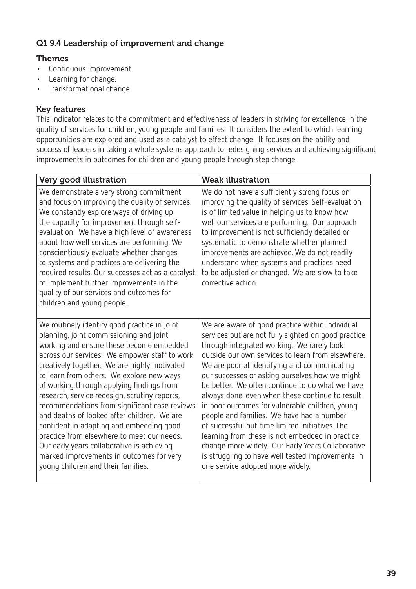## Q1 9.4 Leadership of improvement and change

# Themes

- • Continuous improvement.
- • Learning for change.
- • Transformational change.

#### Key features

This indicator relates to the commitment and effectiveness of leaders in striving for excellence in the quality of services for children, young people and families. It considers the extent to which learning opportunities are explored and used as a catalyst to effect change. It focuses on the ability and success of leaders in taking a whole systems approach to redesigning services and achieving significant improvements in outcomes for children and young people through step change.

| Very good illustration                                                                                                                                                                                                                                                                                                                                                                                                                                                                                                                                                                                                                                                                                    | <b>Weak illustration</b>                                                                                                                                                                                                                                                                                                                                                                                                                                                                                                                                                                                                                                                                                                                                              |
|-----------------------------------------------------------------------------------------------------------------------------------------------------------------------------------------------------------------------------------------------------------------------------------------------------------------------------------------------------------------------------------------------------------------------------------------------------------------------------------------------------------------------------------------------------------------------------------------------------------------------------------------------------------------------------------------------------------|-----------------------------------------------------------------------------------------------------------------------------------------------------------------------------------------------------------------------------------------------------------------------------------------------------------------------------------------------------------------------------------------------------------------------------------------------------------------------------------------------------------------------------------------------------------------------------------------------------------------------------------------------------------------------------------------------------------------------------------------------------------------------|
| We demonstrate a very strong commitment<br>and focus on improving the quality of services.<br>We constantly explore ways of driving up<br>the capacity for improvement through self-<br>evaluation. We have a high level of awareness<br>about how well services are performing. We<br>conscientiously evaluate whether changes<br>to systems and practices are delivering the<br>required results. Our successes act as a catalyst<br>to implement further improvements in the<br>quality of our services and outcomes for<br>children and young people.                                                                                                                                                 | We do not have a sufficiently strong focus on<br>improving the quality of services. Self-evaluation<br>is of limited value in helping us to know how<br>well our services are performing. Our approach<br>to improvement is not sufficiently detailed or<br>systematic to demonstrate whether planned<br>improvements are achieved. We do not readily<br>understand when systems and practices need<br>to be adjusted or changed. We are slow to take<br>corrective action.                                                                                                                                                                                                                                                                                           |
| We routinely identify good practice in joint<br>planning, joint commissioning and joint<br>working and ensure these become embedded<br>across our services. We empower staff to work<br>creatively together. We are highly motivated<br>to learn from others. We explore new ways<br>of working through applying findings from<br>research, service redesign, scrutiny reports,<br>recommendations from significant case reviews<br>and deaths of looked after children. We are<br>confident in adapting and embedding good<br>practice from elsewhere to meet our needs.<br>Our early years collaborative is achieving<br>marked improvements in outcomes for very<br>young children and their families. | We are aware of good practice within individual<br>services but are not fully sighted on good practice<br>through integrated working. We rarely look<br>outside our own services to learn from elsewhere.<br>We are poor at identifying and communicating<br>our successes or asking ourselves how we might<br>be better. We often continue to do what we have<br>always done, even when these continue to result<br>in poor outcomes for vulnerable children, young<br>people and families. We have had a number<br>of successful but time limited initiatives. The<br>learning from these is not embedded in practice<br>change more widely. Our Early Years Collaborative<br>is struggling to have well tested improvements in<br>one service adopted more widely. |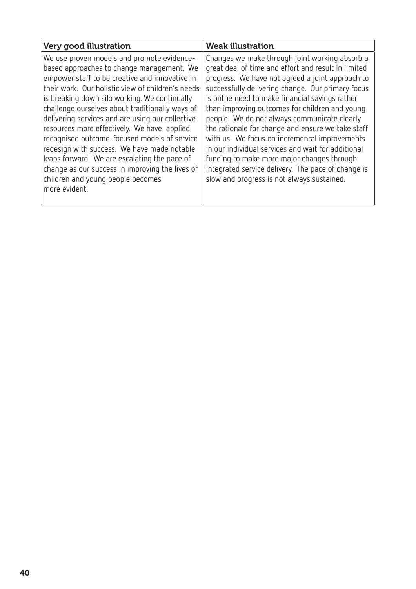| Very good illustration                                                                                                                                                                                                                                                                                                                                                                                                                                                                                                                                                                                                                                        | <b>Weak illustration</b>                                                                                                                                                                                                                                                                                                                                                                                                                                                                                                                                                                                                                                                         |
|---------------------------------------------------------------------------------------------------------------------------------------------------------------------------------------------------------------------------------------------------------------------------------------------------------------------------------------------------------------------------------------------------------------------------------------------------------------------------------------------------------------------------------------------------------------------------------------------------------------------------------------------------------------|----------------------------------------------------------------------------------------------------------------------------------------------------------------------------------------------------------------------------------------------------------------------------------------------------------------------------------------------------------------------------------------------------------------------------------------------------------------------------------------------------------------------------------------------------------------------------------------------------------------------------------------------------------------------------------|
| We use proven models and promote evidence-<br>based approaches to change management. We<br>empower staff to be creative and innovative in<br>their work. Our holistic view of children's needs<br>is breaking down silo working. We continually<br>challenge ourselves about traditionally ways of<br>delivering services and are using our collective<br>resources more effectively. We have applied<br>recognised outcome-focused models of service<br>redesign with success. We have made notable<br>leaps forward. We are escalating the pace of<br>change as our success in improving the lives of<br>children and young people becomes<br>more evident. | Changes we make through joint working absorb a<br>great deal of time and effort and result in limited<br>progress. We have not agreed a joint approach to<br>successfully delivering change. Our primary focus<br>is onthe need to make financial savings rather<br>than improving outcomes for children and young<br>people. We do not always communicate clearly<br>the rationale for change and ensure we take staff<br>with us. We focus on incremental improvements<br>in our individual services and wait for additional<br>funding to make more major changes through<br>integrated service delivery. The pace of change is<br>slow and progress is not always sustained. |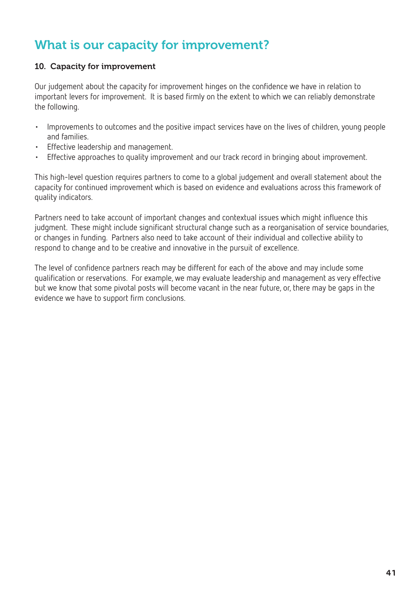# What is our capacity for improvement?

## 10. Capacity for improvement

Our judgement about the capacity for improvement hinges on the confidence we have in relation to important levers for improvement. It is based firmly on the extent to which we can reliably demonstrate the following.

- • Improvements to outcomes and the positive impact services have on the lives of children, young people and families.
- • Effective leadership and management.
- Effective approaches to quality improvement and our track record in bringing about improvement.

This high-level question requires partners to come to a global judgement and overall statement about the capacity for continued improvement which is based on evidence and evaluations across this framework of quality indicators.

Partners need to take account of important changes and contextual issues which might influence this judgment. These might include significant structural change such as a reorganisation of service boundaries, or changes in funding. Partners also need to take account of their individual and collective ability to respond to change and to be creative and innovative in the pursuit of excellence.

The level of confidence partners reach may be different for each of the above and may include some qualification or reservations. For example, we may evaluate leadership and management as very effective but we know that some pivotal posts will become vacant in the near future, or, there may be gaps in the evidence we have to support firm conclusions.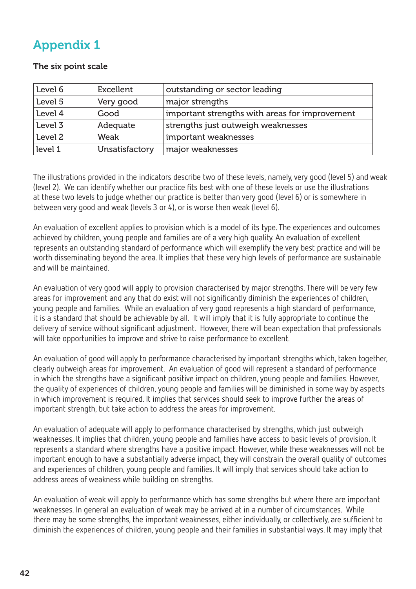# Appendix 1

#### The six point scale

| Level 6 | Excellent      | outstanding or sector leading                  |
|---------|----------------|------------------------------------------------|
| Level 5 | Very good      | major strengths                                |
| Level 4 | Good           | important strengths with areas for improvement |
| Level 3 | Adequate       | strengths just outweigh weaknesses             |
| Level 2 | Weak           | important weaknesses                           |
| level 1 | Unsatisfactory | major weaknesses                               |

The illustrations provided in the indicators describe two of these levels, namely, very good (level 5) and weak (level 2). We can identify whether our practice fits best with one of these levels or use the illustrations at these two levels to judge whether our practice is better than very good (level 6) or is somewhere in between very good and weak (levels 3 or 4), or is worse then weak (level 6).

An evaluation of excellent applies to provision which is a model of its type. The experiences and outcomes achieved by children, young people and families are of a very high quality. An evaluation of excellent represents an outstanding standard of performance which will exemplify the very best practice and will be worth disseminating beyond the area. It implies that these very high levels of performance are sustainable and will be maintained.

An evaluation of very good will apply to provision characterised by major strengths. There will be very few areas for improvement and any that do exist will not significantly diminish the experiences of children, young people and families. While an evaluation of very good represents a high standard of performance, it is a standard that should be achievable by all. It will imply that it is fully appropriate to continue the delivery of service without significant adjustment. However, there will bean expectation that professionals will take opportunities to improve and strive to raise performance to excellent.

An evaluation of good will apply to performance characterised by important strengths which, taken together, clearly outweigh areas for improvement. An evaluation of good will represent a standard of performance in which the strengths have a significant positive impact on children, young people and families. However, the quality of experiences of children, young people and families will be diminished in some way by aspects in which improvement is required. It implies that services should seek to improve further the areas of important strength, but take action to address the areas for improvement.

An evaluation of adequate will apply to performance characterised by strengths, which just outweigh weaknesses. It implies that children, young people and families have access to basic levels of provision. It represents a standard where strengths have a positive impact. However, while these weaknesses will not be important enough to have a substantially adverse impact, they will constrain the overall quality of outcomes and experiences of children, young people and families. It will imply that services should take action to address areas of weakness while building on strengths.

An evaluation of weak will apply to performance which has some strengths but where there are important weaknesses. In general an evaluation of weak may be arrived at in a number of circumstances. While there may be some strengths, the important weaknesses, either individually, or collectively, are sufficient to diminish the experiences of children, young people and their families in substantial ways. It may imply that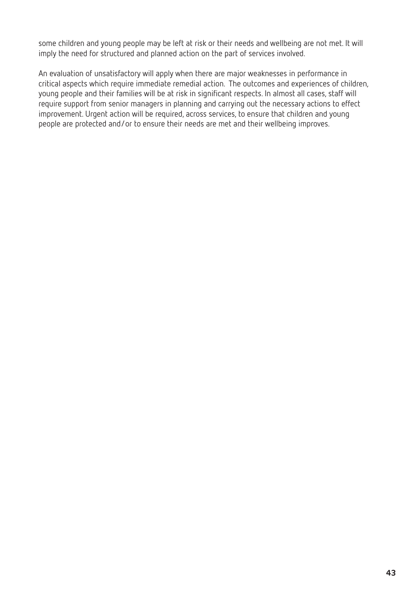some children and young people may be left at risk or their needs and wellbeing are not met. It will imply the need for structured and planned action on the part of services involved.

An evaluation of unsatisfactory will apply when there are major weaknesses in performance in critical aspects which require immediate remedial action. The outcomes and experiences of children, young people and their families will be at risk in significant respects. In almost all cases, staff will require support from senior managers in planning and carrying out the necessary actions to effect improvement. Urgent action will be required, across services, to ensure that children and young people are protected and/or to ensure their needs are met and their wellbeing improves.